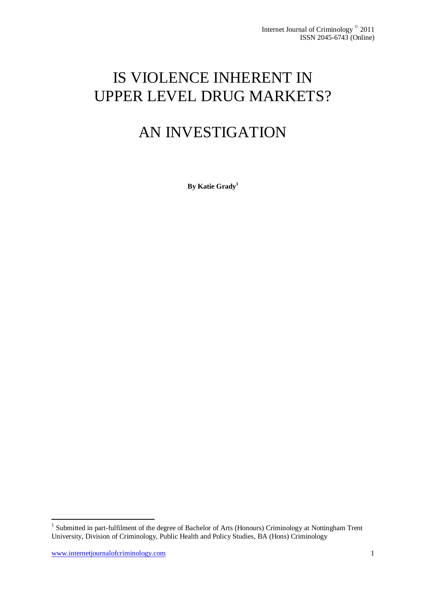# IS VIOLENCE INHERENT IN UPPER LEVEL DRUG MARKETS?

# AN INVESTIGATION

**By Katie Grady<sup>1</sup>**

**.** 

<sup>&</sup>lt;sup>1</sup> Submitted in part-fulfilment of the degree of Bachelor of Arts (Honours) Criminology at Nottingham Trent University, Division of Criminology, Public Health and Policy Studies, BA (Hons) Criminology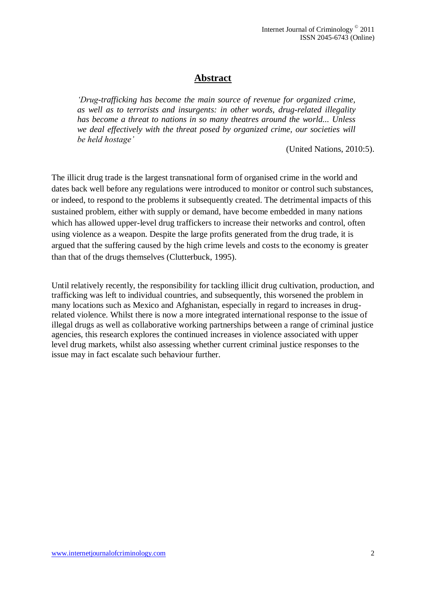## **Abstract**

*'Drug-trafficking has become the main source of revenue for organized crime, as well as to terrorists and insurgents: in other words, drug-related illegality has become a threat to nations in so many theatres around the world... Unless we deal effectively with the threat posed by organized crime, our societies will be held hostage'*

(United Nations, 2010:5).

The illicit drug trade is the largest transnational form of organised crime in the world and dates back well before any regulations were introduced to monitor or control such substances, or indeed, to respond to the problems it subsequently created. The detrimental impacts of this sustained problem, either with supply or demand, have become embedded in many nations which has allowed upper-level drug traffickers to increase their networks and control, often using violence as a weapon. Despite the large profits generated from the drug trade, it is argued that the suffering caused by the high crime levels and costs to the economy is greater than that of the drugs themselves (Clutterbuck, 1995).

Until relatively recently, the responsibility for tackling illicit drug cultivation, production, and trafficking was left to individual countries, and subsequently, this worsened the problem in many locations such as Mexico and Afghanistan, especially in regard to increases in drugrelated violence. Whilst there is now a more integrated international response to the issue of illegal drugs as well as collaborative working partnerships between a range of criminal justice agencies, this research explores the continued increases in violence associated with upper level drug markets, whilst also assessing whether current criminal justice responses to the issue may in fact escalate such behaviour further.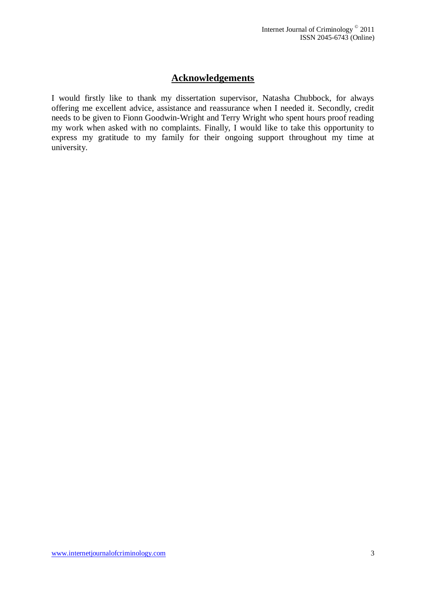## **Acknowledgements**

I would firstly like to thank my dissertation supervisor, Natasha Chubbock, for always offering me excellent advice, assistance and reassurance when I needed it. Secondly, credit needs to be given to Fionn Goodwin-Wright and Terry Wright who spent hours proof reading my work when asked with no complaints. Finally, I would like to take this opportunity to express my gratitude to my family for their ongoing support throughout my time at university.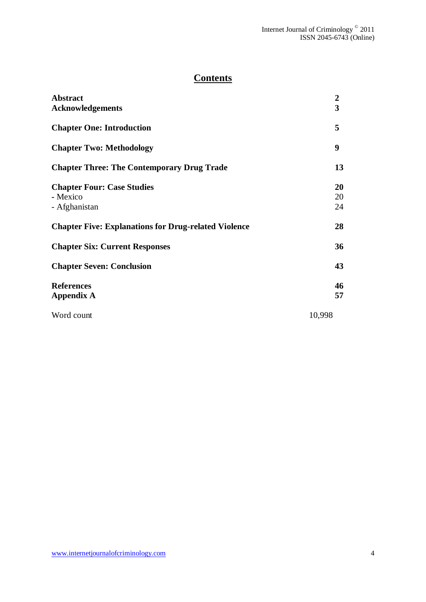## **Contents**

| <b>Abstract</b><br><b>Acknowledgements</b>                     | $\boldsymbol{2}$<br>3 |
|----------------------------------------------------------------|-----------------------|
| <b>Chapter One: Introduction</b>                               | 5                     |
| <b>Chapter Two: Methodology</b>                                | 9                     |
| <b>Chapter Three: The Contemporary Drug Trade</b>              | 13                    |
| <b>Chapter Four: Case Studies</b><br>- Mexico<br>- Afghanistan | 20<br>20<br>24        |
| <b>Chapter Five: Explanations for Drug-related Violence</b>    | 28                    |
| <b>Chapter Six: Current Responses</b>                          | 36                    |
| <b>Chapter Seven: Conclusion</b>                               | 43                    |
| <b>References</b><br><b>Appendix A</b>                         | 46<br>57              |
| Word count                                                     | 10,998                |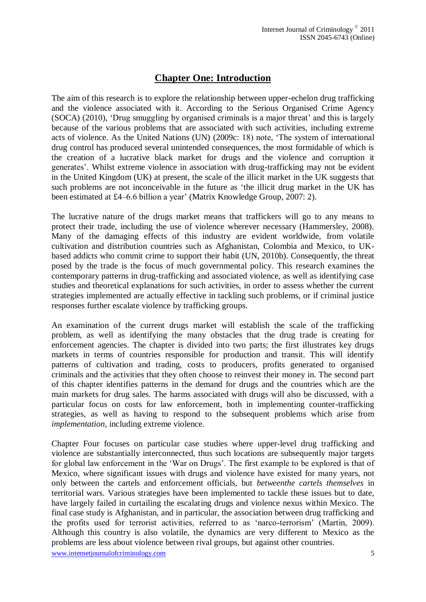## **Chapter One: Introduction**

The aim of this research is to explore the relationship between upper-echelon drug trafficking and the violence associated with it. According to the Serious Organised Crime Agency (SOCA) (2010), 'Drug smuggling by organised criminals is a major threat' and this is largely because of the various problems that are associated with such activities, including extreme acts of violence. As the United Nations (UN) (2009c: 18) note, "The system of international drug control has produced several unintended consequences, the most formidable of which is the creation of a lucrative black market for drugs and the violence and corruption it generates". Whilst extreme violence in association with drug-trafficking may not be evident in the United Kingdom (UK) at present, the scale of the illicit market in the UK suggests that such problems are not inconceivable in the future as "the illicit drug market in the UK has been estimated at £4–6.6 billion a year' (Matrix Knowledge Group, 2007: 2).

The lucrative nature of the drugs market means that traffickers will go to any means to protect their trade, including the use of violence wherever necessary (Hammersley, 2008). Many of the damaging effects of this industry are evident worldwide, from volatile cultivation and distribution countries such as Afghanistan, Colombia and Mexico, to UKbased addicts who commit crime to support their habit (UN, 2010b). Consequently, the threat posed by the trade is the focus of much governmental policy. This research examines the contemporary patterns in drug-trafficking and associated violence, as well as identifying case studies and theoretical explanations for such activities, in order to assess whether the current strategies implemented are actually effective in tackling such problems, or if criminal justice responses further escalate violence by trafficking groups.

An examination of the current drugs market will establish the scale of the trafficking problem, as well as identifying the many obstacles that the drug trade is creating for enforcement agencies. The chapter is divided into two parts; the first illustrates key drugs markets in terms of countries responsible for production and transit. This will identify patterns of cultivation and trading, costs to producers, profits generated to organised criminals and the activities that they often choose to reinvest their money in. The second part of this chapter identifies patterns in the demand for drugs and the countries which are the main markets for drug sales. The harms associated with drugs will also be discussed, with a particular focus on costs for law enforcement, both in implementing counter-trafficking strategies, as well as having to respond to the subsequent problems which arise from *implementation*, including extreme violence.

Chapter Four focuses on particular case studies where upper-level drug trafficking and violence are substantially interconnected, thus such locations are subsequently major targets for global law enforcement in the "War on Drugs". The first example to be explored is that of Mexico, where significant issues with drugs and violence have existed for many years, not only between the cartels and enforcement officials, but *betweenthe cartels themselves* in territorial wars. Various strategies have been implemented to tackle these issues but to date, have largely failed in curtailing the escalating drugs and violence nexus within Mexico. The final case study is Afghanistan, and in particular, the association between drug trafficking and the profits used for terrorist activities, referred to as "narco-terrorism" (Martin, 2009). Although this country is also volatile, the dynamics are very different to Mexico as the problems are less about violence between rival groups, but against other countries.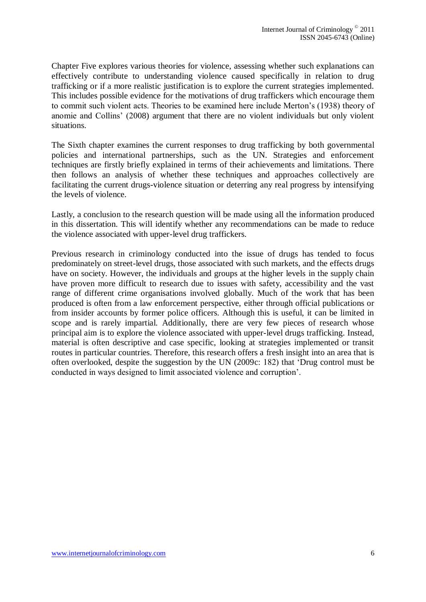Chapter Five explores various theories for violence, assessing whether such explanations can effectively contribute to understanding violence caused specifically in relation to drug trafficking or if a more realistic justification is to explore the current strategies implemented. This includes possible evidence for the motivations of drug traffickers which encourage them to commit such violent acts. Theories to be examined here include Merton"s (1938) theory of anomie and Collins" (2008) argument that there are no violent individuals but only violent situations.

The Sixth chapter examines the current responses to drug trafficking by both governmental policies and international partnerships, such as the UN. Strategies and enforcement techniques are firstly briefly explained in terms of their achievements and limitations. There then follows an analysis of whether these techniques and approaches collectively are facilitating the current drugs-violence situation or deterring any real progress by intensifying the levels of violence.

Lastly, a conclusion to the research question will be made using all the information produced in this dissertation. This will identify whether any recommendations can be made to reduce the violence associated with upper-level drug traffickers.

Previous research in criminology conducted into the issue of drugs has tended to focus predominately on street-level drugs, those associated with such markets, and the effects drugs have on society. However, the individuals and groups at the higher levels in the supply chain have proven more difficult to research due to issues with safety, accessibility and the vast range of different crime organisations involved globally. Much of the work that has been produced is often from a law enforcement perspective, either through official publications or from insider accounts by former police officers. Although this is useful, it can be limited in scope and is rarely impartial. Additionally, there are very few pieces of research whose principal aim is to explore the violence associated with upper-level drugs trafficking. Instead, material is often descriptive and case specific, looking at strategies implemented or transit routes in particular countries. Therefore, this research offers a fresh insight into an area that is often overlooked, despite the suggestion by the UN (2009c: 182) that "Drug control must be conducted in ways designed to limit associated violence and corruption".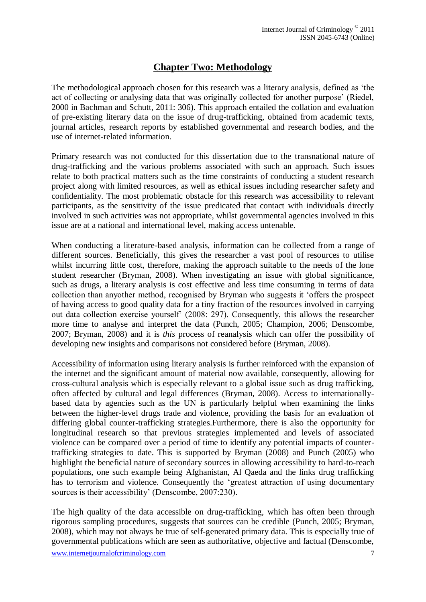## **Chapter Two: Methodology**

The methodological approach chosen for this research was a literary analysis, defined as "the act of collecting or analysing data that was originally collected for another purpose' (Riedel, 2000 in Bachman and Schutt, 2011: 306). This approach entailed the collation and evaluation of pre-existing literary data on the issue of drug-trafficking, obtained from academic texts, journal articles, research reports by established governmental and research bodies, and the use of internet-related information.

Primary research was not conducted for this dissertation due to the transnational nature of drug-trafficking and the various problems associated with such an approach. Such issues relate to both practical matters such as the time constraints of conducting a student research project along with limited resources, as well as ethical issues including researcher safety and confidentiality. The most problematic obstacle for this research was accessibility to relevant participants, as the sensitivity of the issue predicated that contact with individuals directly involved in such activities was not appropriate, whilst governmental agencies involved in this issue are at a national and international level, making access untenable.

When conducting a literature-based analysis, information can be collected from a range of different sources. Beneficially, this gives the researcher a vast pool of resources to utilise whilst incurring little cost, therefore, making the approach suitable to the needs of the lone student researcher (Bryman, 2008). When investigating an issue with global significance, such as drugs, a literary analysis is cost effective and less time consuming in terms of data collection than anyother method, recognised by Bryman who suggests it "offers the prospect of having access to good quality data for a tiny fraction of the resources involved in carrying out data collection exercise yourself" (2008: 297). Consequently, this allows the researcher more time to analyse and interpret the data (Punch, 2005; Champion, 2006; Denscombe, 2007; Bryman, 2008) and it is *this* process of reanalysis which can offer the possibility of developing new insights and comparisons not considered before (Bryman, 2008).

Accessibility of information using literary analysis is further reinforced with the expansion of the internet and the significant amount of material now available, consequently, allowing for cross-cultural analysis which is especially relevant to a global issue such as drug trafficking, often affected by cultural and legal differences (Bryman, 2008). Access to internationallybased data by agencies such as the UN is particularly helpful when examining the links between the higher-level drugs trade and violence, providing the basis for an evaluation of differing global counter-trafficking strategies.Furthermore, there is also the opportunity for longitudinal research so that previous strategies implemented and levels of associated violence can be compared over a period of time to identify any potential impacts of countertrafficking strategies to date. This is supported by Bryman (2008) and Punch (2005) who highlight the beneficial nature of secondary sources in allowing accessibility to hard-to-reach populations, one such example being Afghanistan, Al Qaeda and the links drug trafficking has to terrorism and violence. Consequently the "greatest attraction of using documentary sources is their accessibility' (Denscombe, 2007:230).

The high quality of the data accessible on drug-trafficking, which has often been through rigorous sampling procedures, suggests that sources can be credible (Punch, 2005; Bryman, 2008), which may not always be true of self-generated primary data. This is especially true of governmental publications which are seen as authoritative, objective and factual (Denscombe,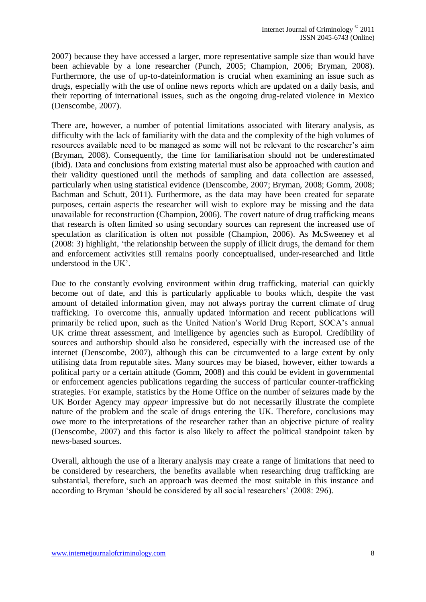2007) because they have accessed a larger, more representative sample size than would have been achievable by a lone researcher (Punch, 2005; Champion, 2006; Bryman, 2008). Furthermore, the use of up-to-dateinformation is crucial when examining an issue such as drugs, especially with the use of online news reports which are updated on a daily basis, and their reporting of international issues, such as the ongoing drug-related violence in Mexico (Denscombe, 2007).

There are, however, a number of potential limitations associated with literary analysis, as difficulty with the lack of familiarity with the data and the complexity of the high volumes of resources available need to be managed as some will not be relevant to the researcher"s aim (Bryman, 2008). Consequently, the time for familiarisation should not be underestimated (ibid). Data and conclusions from existing material must also be approached with caution and their validity questioned until the methods of sampling and data collection are assessed, particularly when using statistical evidence (Denscombe, 2007; Bryman, 2008; Gomm, 2008; Bachman and Schutt, 2011). Furthermore, as the data may have been created for separate purposes, certain aspects the researcher will wish to explore may be missing and the data unavailable for reconstruction (Champion, 2006). The covert nature of drug trafficking means that research is often limited so using secondary sources can represent the increased use of speculation as clarification is often not possible (Champion, 2006). As McSweeney et al (2008: 3) highlight, "the relationship between the supply of illicit drugs, the demand for them and enforcement activities still remains poorly conceptualised, under-researched and little understood in the UK".

Due to the constantly evolving environment within drug trafficking, material can quickly become out of date, and this is particularly applicable to books which, despite the vast amount of detailed information given, may not always portray the current climate of drug trafficking. To overcome this, annually updated information and recent publications will primarily be relied upon, such as the United Nation"s World Drug Report, SOCA"s annual UK crime threat assessment, and intelligence by agencies such as Europol. Credibility of sources and authorship should also be considered, especially with the increased use of the internet (Denscombe, 2007), although this can be circumvented to a large extent by only utilising data from reputable sites. Many sources may be biased, however, either towards a political party or a certain attitude (Gomm, 2008) and this could be evident in governmental or enforcement agencies publications regarding the success of particular counter-trafficking strategies. For example, statistics by the Home Office on the number of seizures made by the UK Border Agency may *appear* impressive but do not necessarily illustrate the complete nature of the problem and the scale of drugs entering the UK. Therefore, conclusions may owe more to the interpretations of the researcher rather than an objective picture of reality (Denscombe, 2007) and this factor is also likely to affect the political standpoint taken by news-based sources.

Overall, although the use of a literary analysis may create a range of limitations that need to be considered by researchers, the benefits available when researching drug trafficking are substantial, therefore, such an approach was deemed the most suitable in this instance and according to Bryman 'should be considered by all social researchers' (2008: 296).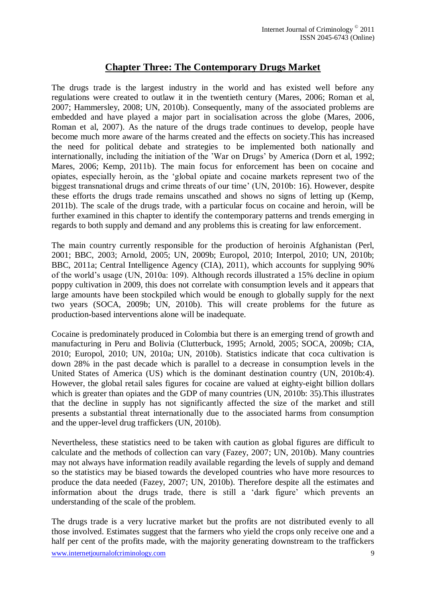## **Chapter Three: The Contemporary Drugs Market**

The drugs trade is the largest industry in the world and has existed well before any regulations were created to outlaw it in the twentieth century (Mares, 2006; Roman et al, 2007; Hammersley, 2008; UN, 2010b). Consequently, many of the associated problems are embedded and have played a major part in socialisation across the globe (Mares, 2006, Roman et al, 2007). As the nature of the drugs trade continues to develop, people have become much more aware of the harms created and the effects on society.This has increased the need for political debate and strategies to be implemented both nationally and internationally, including the initiation of the "War on Drugs" by America (Dorn et al, 1992; Mares, 2006; Kemp, 2011b). The main focus for enforcement has been on cocaine and opiates, especially heroin, as the "global opiate and cocaine markets represent two of the biggest transnational drugs and crime threats of our time" (UN, 2010b: 16). However, despite these efforts the drugs trade remains unscathed and shows no signs of letting up (Kemp, 2011b). The scale of the drugs trade, with a particular focus on cocaine and heroin, will be further examined in this chapter to identify the contemporary patterns and trends emerging in regards to both supply and demand and any problems this is creating for law enforcement.

The main country currently responsible for the production of heroinis Afghanistan (Perl, 2001; BBC, 2003; Arnold, 2005; UN, 2009b; Europol, 2010; Interpol, 2010; UN, 2010b; BBC, 2011a; Central Intelligence Agency (CIA), 2011), which accounts for supplying 90% of the world"s usage (UN, 2010a: 109). Although records illustrated a 15% decline in opium poppy cultivation in 2009, this does not correlate with consumption levels and it appears that large amounts have been stockpiled which would be enough to globally supply for the next two years (SOCA, 2009b; UN, 2010b). This will create problems for the future as production-based interventions alone will be inadequate.

Cocaine is predominately produced in Colombia but there is an emerging trend of growth and manufacturing in Peru and Bolivia (Clutterbuck, 1995; Arnold, 2005; SOCA, 2009b; CIA, 2010; Europol, 2010; UN, 2010a; UN, 2010b). Statistics indicate that coca cultivation is down 28% in the past decade which is parallel to a decrease in consumption levels in the United States of America (US) which is the dominant destination country (UN, 2010b:4). However, the global retail sales figures for cocaine are valued at eighty-eight billion dollars which is greater than opiates and the GDP of many countries (UN, 2010b: 35). This illustrates that the decline in supply has not significantly affected the size of the market and still presents a substantial threat internationally due to the associated harms from consumption and the upper-level drug traffickers (UN, 2010b).

Nevertheless, these statistics need to be taken with caution as global figures are difficult to calculate and the methods of collection can vary (Fazey, 2007; UN, 2010b). Many countries may not always have information readily available regarding the levels of supply and demand so the statistics may be biased towards the developed countries who have more resources to produce the data needed (Fazey, 2007; UN, 2010b). Therefore despite all the estimates and information about the drugs trade, there is still a "dark figure" which prevents an understanding of the scale of the problem.

The drugs trade is a very lucrative market but the profits are not distributed evenly to all those involved. Estimates suggest that the farmers who yield the crops only receive one and a half per cent of the profits made, with the majority generating downstream to the traffickers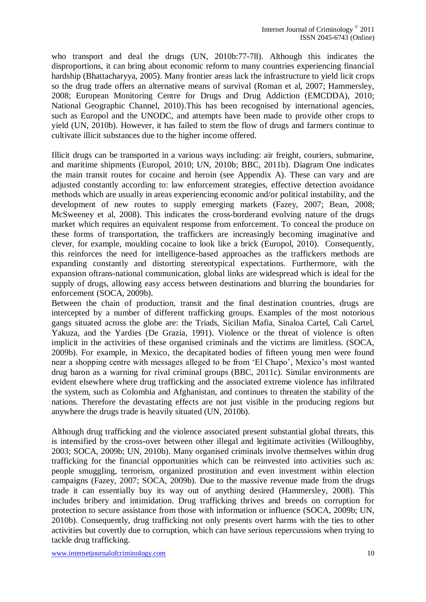who transport and deal the drugs (UN, 2010b:77-78). Although this indicates the disproportions, it can bring about economic reform to many countries experiencing financial hardship (Bhattacharyya, 2005). Many frontier areas lack the infrastructure to yield licit crops so the drug trade offers an alternative means of survival (Roman et al, 2007; Hammersley, 2008; European Monitoring Centre for Drugs and Drug Addiction (EMCDDA), 2010; National Geographic Channel, 2010).This has been recognised by international agencies, such as Europol and the UNODC, and attempts have been made to provide other crops to yield (UN, 2010b). However, it has failed to stem the flow of drugs and farmers continue to cultivate illicit substances due to the higher income offered.

Illicit drugs can be transported in a various ways including: air freight, couriers, submarine, and maritime shipments (Europol, 2010; UN, 2010b; BBC, 2011b). Diagram One indicates the main transit routes for cocaine and heroin (see Appendix A). These can vary and are adjusted constantly according to: law enforcement strategies, effective detection avoidance methods which are usually in areas experiencing economic and/or political instability, and the development of new routes to supply emerging markets (Fazey, 2007; Bean, 2008; McSweeney et al, 2008). This indicates the cross-borderand evolving nature of the drugs market which requires an equivalent response from enforcement. To conceal the produce on these forms of transportation, the traffickers are increasingly becoming imaginative and clever, for example, moulding cocaine to look like a brick (Europol, 2010). Consequently, this reinforces the need for intelligence-based approaches as the traffickers methods are expanding constantly and distorting stereotypical expectations. Furthermore, with the expansion oftrans-national communication, global links are widespread which is ideal for the supply of drugs, allowing easy access between destinations and blurring the boundaries for enforcement (SOCA, 2009b).

Between the chain of production, transit and the final destination countries, drugs are intercepted by a number of different trafficking groups. Examples of the most notorious gangs situated across the globe are: the Triads, Sicilian Mafia, Sinaloa Cartel, Cali Cartel, Yakuza, and the Yardies (De Grazia, 1991). Violence or the threat of violence is often implicit in the activities of these organised criminals and the victims are limitless. (SOCA, 2009b). For example, in Mexico, the decapitated bodies of fifteen young men were found near a shopping centre with messages alleged to be from "El Chapo", Mexico"s most wanted drug baron as a warning for rival criminal groups (BBC, 2011c). Similar environments are evident elsewhere where drug trafficking and the associated extreme violence has infiltrated the system, such as Colombia and Afghanistan, and continues to threaten the stability of the nations. Therefore the devastating effects are not just visible in the producing regions but anywhere the drugs trade is heavily situated (UN, 2010b).

Although drug trafficking and the violence associated present substantial global threats, this is intensified by the cross-over between other illegal and legitimate activities (Willoughby, 2003; SOCA, 2009b; UN, 2010b). Many organised criminals involve themselves within drug trafficking for the financial opportunities which can be reinvested into activities such as: people smuggling, terrorism, organized prostitution and even investment within election campaigns (Fazey, 2007; SOCA, 2009b). Due to the massive revenue made from the drugs trade it can essentially buy its way out of anything desired (Hammersley, 2008). This includes bribery and intimidation. Drug trafficking thrives and breeds on corruption for protection to secure assistance from those with information or influence (SOCA, 2009b; UN, 2010b). Consequently, drug trafficking not only presents overt harms with the ties to other activities but covertly due to corruption, which can have serious repercussions when trying to tackle drug trafficking.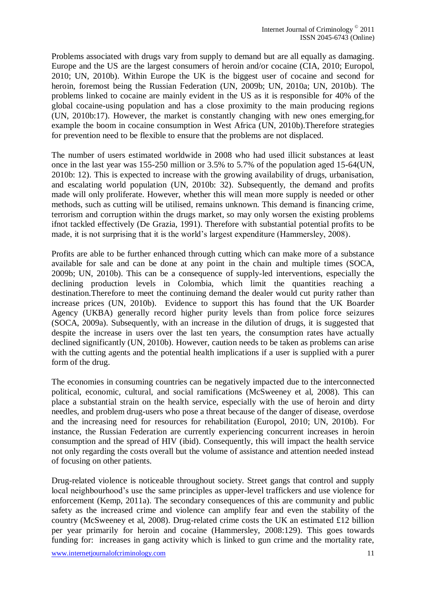Problems associated with drugs vary from supply to demand but are all equally as damaging. Europe and the US are the largest consumers of heroin and/or cocaine (CIA, 2010; Europol, 2010; UN, 2010b). Within Europe the UK is the biggest user of cocaine and second for heroin, foremost being the Russian Federation (UN, 2009b; UN, 2010a; UN, 2010b). The problems linked to cocaine are mainly evident in the US as it is responsible for 40% of the global cocaine-using population and has a close proximity to the main producing regions (UN, 2010b:17). However, the market is constantly changing with new ones emerging,for example the boom in cocaine consumption in West Africa (UN, 2010b).Therefore strategies for prevention need to be flexible to ensure that the problems are not displaced.

The number of users estimated worldwide in 2008 who had used illicit substances at least once in the last year was 155-250 million or 3.5% to 5.7% of the population aged 15-64(UN, 2010b: 12). This is expected to increase with the growing availability of drugs, urbanisation, and escalating world population (UN, 2010b: 32). Subsequently, the demand and profits made will only proliferate. However, whether this will mean more supply is needed or other methods, such as cutting will be utilised, remains unknown. This demand is financing crime, terrorism and corruption within the drugs market, so may only worsen the existing problems ifnot tackled effectively (De Grazia, 1991). Therefore with substantial potential profits to be made, it is not surprising that it is the world"s largest expenditure (Hammersley, 2008).

Profits are able to be further enhanced through cutting which can make more of a substance available for sale and can be done at any point in the chain and multiple times (SOCA, 2009b; UN, 2010b). This can be a consequence of supply-led interventions, especially the declining production levels in Colombia, which limit the quantities reaching a destination.Therefore to meet the continuing demand the dealer would cut purity rather than increase prices (UN, 2010b). Evidence to support this has found that the UK Boarder Agency (UKBA) generally record higher purity levels than from police force seizures (SOCA, 2009a). Subsequently, with an increase in the dilution of drugs, it is suggested that despite the increase in users over the last ten years, the consumption rates have actually declined significantly (UN, 2010b). However, caution needs to be taken as problems can arise with the cutting agents and the potential health implications if a user is supplied with a purer form of the drug.

The economies in consuming countries can be negatively impacted due to the interconnected political, economic, cultural, and social ramifications (McSweeney et al, 2008). This can place a substantial strain on the health service, especially with the use of heroin and dirty needles, and problem drug-users who pose a threat because of the danger of disease, overdose and the increasing need for resources for rehabilitation (Europol, 2010; UN, 2010b). For instance, the Russian Federation are currently experiencing concurrent increases in heroin consumption and the spread of HIV (ibid). Consequently, this will impact the health service not only regarding the costs overall but the volume of assistance and attention needed instead of focusing on other patients.

Drug-related violence is noticeable throughout society. Street gangs that control and supply local neighbourhood's use the same principles as upper-level traffickers and use violence for enforcement (Kemp, 2011a). The secondary consequences of this are community and public safety as the increased crime and violence can amplify fear and even the stability of the country (McSweeney et al, 2008). Drug-related crime costs the UK an estimated £12 billion per year primarily for heroin and cocaine (Hammersley, 2008:129). This goes towards funding for: increases in gang activity which is linked to gun crime and the mortality rate,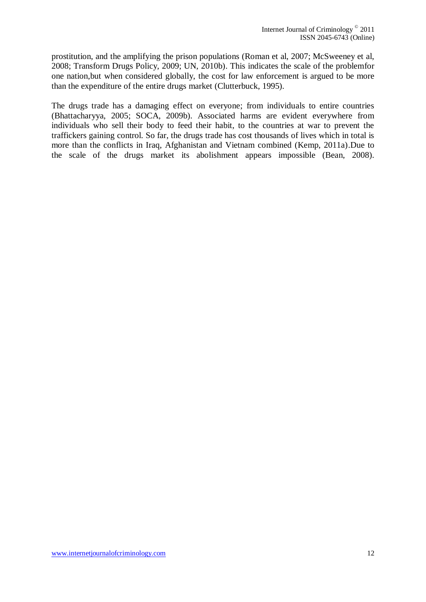prostitution, and the amplifying the prison populations (Roman et al, 2007; McSweeney et al, 2008; Transform Drugs Policy, 2009; UN, 2010b). This indicates the scale of the problemfor one nation,but when considered globally, the cost for law enforcement is argued to be more than the expenditure of the entire drugs market (Clutterbuck, 1995).

The drugs trade has a damaging effect on everyone; from individuals to entire countries (Bhattacharyya, 2005; SOCA, 2009b). Associated harms are evident everywhere from individuals who sell their body to feed their habit, to the countries at war to prevent the traffickers gaining control. So far, the drugs trade has cost thousands of lives which in total is more than the conflicts in Iraq, Afghanistan and Vietnam combined (Kemp, 2011a).Due to the scale of the drugs market its abolishment appears impossible (Bean, 2008).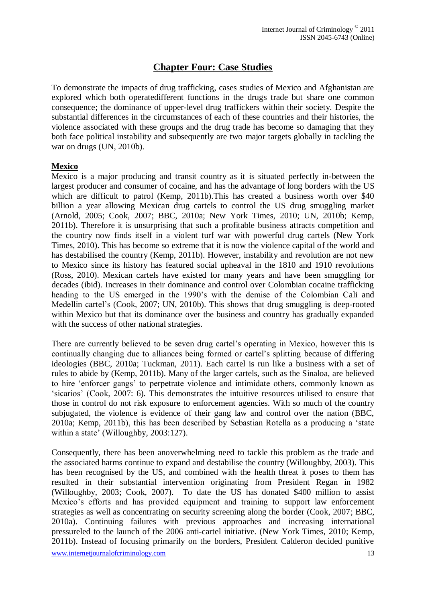## **Chapter Four: Case Studies**

To demonstrate the impacts of drug trafficking, cases studies of Mexico and Afghanistan are explored which both operatedifferent functions in the drugs trade but share one common consequence; the dominance of upper-level drug traffickers within their society. Despite the substantial differences in the circumstances of each of these countries and their histories, the violence associated with these groups and the drug trade has become so damaging that they both face political instability and subsequently are two major targets globally in tackling the war on drugs (UN, 2010b).

#### **Mexico**

Mexico is a major producing and transit country as it is situated perfectly in-between the largest producer and consumer of cocaine, and has the advantage of long borders with the US which are difficult to patrol (Kemp, 2011b). This has created a business worth over \$40 billion a year allowing Mexican drug cartels to control the US drug smuggling market (Arnold, 2005; Cook, 2007; BBC, 2010a; New York Times, 2010; UN, 2010b; Kemp, 2011b). Therefore it is unsurprising that such a profitable business attracts competition and the country now finds itself in a violent turf war with powerful drug cartels (New York Times, 2010). This has become so extreme that it is now the violence capital of the world and has destabilised the country (Kemp, 2011b). However, instability and revolution are not new to Mexico since its history has featured social upheaval in the 1810 and 1910 revolutions (Ross, 2010). Mexican cartels have existed for many years and have been smuggling for decades (ibid). Increases in their dominance and control over Colombian cocaine trafficking heading to the US emerged in the 1990's with the demise of the Colombian Cali and Medellin cartel's (Cook, 2007; UN, 2010b). This shows that drug smuggling is deep-rooted within Mexico but that its dominance over the business and country has gradually expanded with the success of other national strategies.

There are currently believed to be seven drug cartel"s operating in Mexico, however this is continually changing due to alliances being formed or cartel"s splitting because of differing ideologies (BBC, 2010a; Tuckman, 2011). Each cartel is run like a business with a set of rules to abide by (Kemp, 2011b). Many of the larger cartels, such as the Sinaloa, are believed to hire "enforcer gangs" to perpetrate violence and intimidate others, commonly known as 'sicarios' (Cook, 2007: 6). This demonstrates the intuitive resources utilised to ensure that those in control do not risk exposure to enforcement agencies. With so much of the country subjugated, the violence is evidence of their gang law and control over the nation (BBC, 2010a; Kemp, 2011b), this has been described by Sebastian Rotella as a producing a "state within a state' (Willoughby, 2003:127).

Consequently, there has been anoverwhelming need to tackle this problem as the trade and the associated harms continue to expand and destabilise the country (Willoughby, 2003). This has been recognised by the US, and combined with the health threat it poses to them has resulted in their substantial intervention originating from President Regan in 1982 (Willoughby, 2003; Cook, 2007). To date the US has donated \$400 million to assist Mexico's efforts and has provided equipment and training to support law enforcement strategies as well as concentrating on security screening along the border (Cook, 2007; BBC, 2010a). Continuing failures with previous approaches and increasing international pressureled to the launch of the 2006 anti-cartel initiative. (New York Times, 2010; Kemp, 2011b). Instead of focusing primarily on the borders, President Calderon decided punitive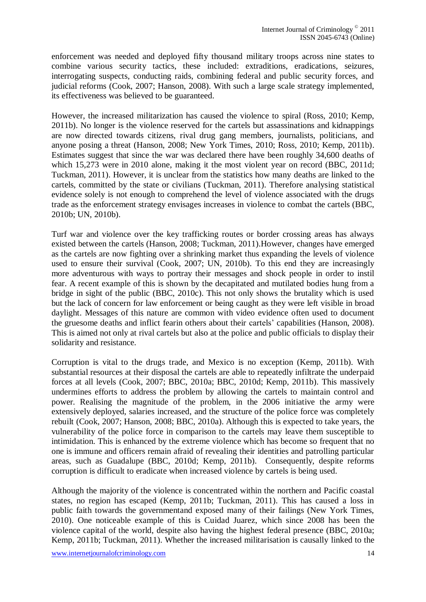enforcement was needed and deployed fifty thousand military troops across nine states to combine various security tactics, these included: extraditions, eradications, seizures, interrogating suspects, conducting raids, combining federal and public security forces, and judicial reforms (Cook, 2007; Hanson, 2008). With such a large scale strategy implemented, its effectiveness was believed to be guaranteed.

However, the increased militarization has caused the violence to spiral (Ross, 2010; Kemp, 2011b). No longer is the violence reserved for the cartels but assassinations and kidnappings are now directed towards citizens, rival drug gang members, journalists, politicians, and anyone posing a threat (Hanson, 2008; New York Times, 2010; Ross, 2010; Kemp, 2011b). Estimates suggest that since the war was declared there have been roughly 34,600 deaths of which 15,273 were in 2010 alone, making it the most violent year on record (BBC, 2011d; Tuckman, 2011). However, it is unclear from the statistics how many deaths are linked to the cartels, committed by the state or civilians (Tuckman, 2011). Therefore analysing statistical evidence solely is not enough to comprehend the level of violence associated with the drugs trade as the enforcement strategy envisages increases in violence to combat the cartels (BBC, 2010b; UN, 2010b).

Turf war and violence over the key trafficking routes or border crossing areas has always existed between the cartels (Hanson, 2008; Tuckman, 2011).However, changes have emerged as the cartels are now fighting over a shrinking market thus expanding the levels of violence used to ensure their survival (Cook, 2007; UN, 2010b). To this end they are increasingly more adventurous with ways to portray their messages and shock people in order to instil fear. A recent example of this is shown by the decapitated and mutilated bodies hung from a bridge in sight of the public (BBC, 2010c). This not only shows the brutality which is used but the lack of concern for law enforcement or being caught as they were left visible in broad daylight. Messages of this nature are common with video evidence often used to document the gruesome deaths and inflict fearin others about their cartels" capabilities (Hanson, 2008). This is aimed not only at rival cartels but also at the police and public officials to display their solidarity and resistance.

Corruption is vital to the drugs trade, and Mexico is no exception (Kemp, 2011b). With substantial resources at their disposal the cartels are able to repeatedly infiltrate the underpaid forces at all levels (Cook, 2007; BBC, 2010a; BBC, 2010d; Kemp, 2011b). This massively undermines efforts to address the problem by allowing the cartels to maintain control and power. Realising the magnitude of the problem, in the 2006 initiative the army were extensively deployed, salaries increased, and the structure of the police force was completely rebuilt (Cook, 2007; Hanson, 2008; BBC, 2010a). Although this is expected to take years, the vulnerability of the police force in comparison to the cartels may leave them susceptible to intimidation. This is enhanced by the extreme violence which has become so frequent that no one is immune and officers remain afraid of revealing their identities and patrolling particular areas, such as Guadalupe (BBC, 2010d; Kemp, 2011b). Consequently, despite reforms corruption is difficult to eradicate when increased violence by cartels is being used.

Although the majority of the violence is concentrated within the northern and Pacific coastal states, no region has escaped (Kemp, 2011b; Tuckman, 2011). This has caused a loss in public faith towards the governmentand exposed many of their failings (New York Times, 2010). One noticeable example of this is Cuidad Juarez, which since 2008 has been the violence capital of the world, despite also having the highest federal presence (BBC, 2010a; Kemp, 2011b; Tuckman, 2011). Whether the increased militarisation is causally linked to the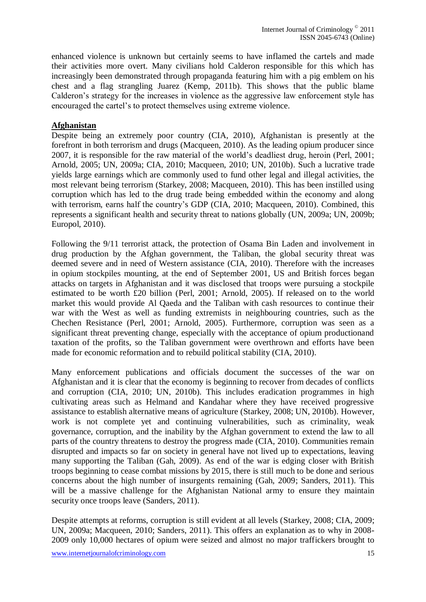enhanced violence is unknown but certainly seems to have inflamed the cartels and made their activities more overt. Many civilians hold Calderon responsible for this which has increasingly been demonstrated through propaganda featuring him with a pig emblem on his chest and a flag strangling Juarez (Kemp, 2011b). This shows that the public blame Calderon"s strategy for the increases in violence as the aggressive law enforcement style has encouraged the cartel"s to protect themselves using extreme violence.

#### **Afghanistan**

Despite being an extremely poor country (CIA, 2010), Afghanistan is presently at the forefront in both terrorism and drugs (Macqueen, 2010). As the leading opium producer since 2007, it is responsible for the raw material of the world"s deadliest drug, heroin (Perl, 2001; Arnold, 2005; UN, 2009a; CIA, 2010; Macqueen, 2010; UN, 2010b). Such a lucrative trade yields large earnings which are commonly used to fund other legal and illegal activities, the most relevant being terrorism (Starkey, 2008; Macqueen, 2010). This has been instilled using corruption which has led to the drug trade being embedded within the economy and along with terrorism, earns half the country"s GDP (CIA, 2010; Macqueen, 2010). Combined, this represents a significant health and security threat to nations globally (UN, 2009a; UN, 2009b; Europol, 2010).

Following the 9/11 terrorist attack, the protection of Osama Bin Laden and involvement in drug production by the Afghan government, the Taliban, the global security threat was deemed severe and in need of Western assistance (CIA, 2010). Therefore with the increases in opium stockpiles mounting, at the end of September 2001, US and British forces began attacks on targets in Afghanistan and it was disclosed that troops were pursuing a stockpile estimated to be worth £20 billion (Perl, 2001; Arnold, 2005). If released on to the world market this would provide Al Qaeda and the Taliban with cash resources to continue their war with the West as well as funding extremists in neighbouring countries, such as the Chechen Resistance (Perl, 2001; Arnold, 2005). Furthermore, corruption was seen as a significant threat preventing change, especially with the acceptance of opium productionand taxation of the profits, so the Taliban government were overthrown and efforts have been made for economic reformation and to rebuild political stability (CIA, 2010).

Many enforcement publications and officials document the successes of the war on Afghanistan and it is clear that the economy is beginning to recover from decades of conflicts and corruption (CIA, 2010; UN, 2010b). This includes eradication programmes in high cultivating areas such as Helmand and Kandahar where they have received progressive assistance to establish alternative means of agriculture (Starkey, 2008; UN, 2010b). However, work is not complete yet and continuing vulnerabilities, such as criminality, weak governance, corruption, and the inability by the Afghan government to extend the law to all parts of the country threatens to destroy the progress made (CIA, 2010). Communities remain disrupted and impacts so far on society in general have not lived up to expectations, leaving many supporting the Taliban (Gah, 2009). As end of the war is edging closer with British troops beginning to cease combat missions by 2015, there is still much to be done and serious concerns about the high number of insurgents remaining (Gah, 2009; Sanders, 2011). This will be a massive challenge for the Afghanistan National army to ensure they maintain security once troops leave (Sanders, 2011).

Despite attempts at reforms, corruption is still evident at all levels (Starkey, 2008; CIA, 2009; UN, 2009a; Macqueen, 2010; Sanders, 2011). This offers an explanation as to why in 2008- 2009 only 10,000 hectares of opium were seized and almost no major traffickers brought to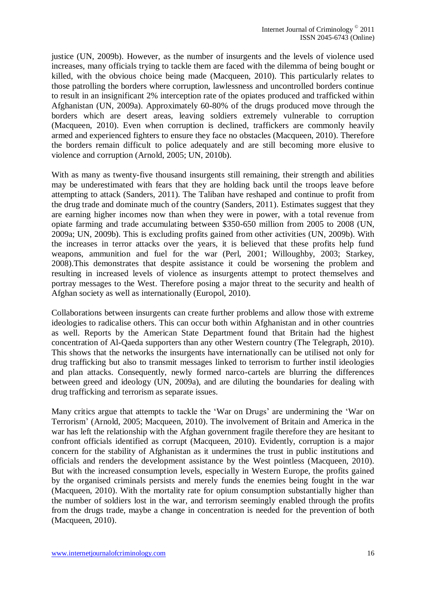justice (UN, 2009b). However, as the number of insurgents and the levels of violence used increases, many officials trying to tackle them are faced with the dilemma of being bought or killed, with the obvious choice being made (Macqueen, 2010). This particularly relates to those patrolling the borders where corruption, lawlessness and uncontrolled borders continue to result in an insignificant 2% interception rate of the opiates produced and trafficked within Afghanistan (UN, 2009a). Approximately 60-80% of the drugs produced move through the borders which are desert areas, leaving soldiers extremely vulnerable to corruption (Macqueen, 2010). Even when corruption is declined, traffickers are commonly heavily armed and experienced fighters to ensure they face no obstacles (Macqueen, 2010). Therefore the borders remain difficult to police adequately and are still becoming more elusive to violence and corruption (Arnold, 2005; UN, 2010b).

With as many as twenty-five thousand insurgents still remaining, their strength and abilities may be underestimated with fears that they are holding back until the troops leave before attempting to attack (Sanders, 2011). The Taliban have reshaped and continue to profit from the drug trade and dominate much of the country (Sanders, 2011). Estimates suggest that they are earning higher incomes now than when they were in power, with a total revenue from opiate farming and trade accumulating between \$350-650 million from 2005 to 2008 (UN, 2009a; UN, 2009b). This is excluding profits gained from other activities (UN, 2009b). With the increases in terror attacks over the years, it is believed that these profits help fund weapons, ammunition and fuel for the war (Perl, 2001; Willoughby, 2003; Starkey, 2008).This demonstrates that despite assistance it could be worsening the problem and resulting in increased levels of violence as insurgents attempt to protect themselves and portray messages to the West. Therefore posing a major threat to the security and health of Afghan society as well as internationally (Europol, 2010).

Collaborations between insurgents can create further problems and allow those with extreme ideologies to radicalise others. This can occur both within Afghanistan and in other countries as well. Reports by the American State Department found that Britain had the highest concentration of Al-Qaeda supporters than any other Western country (The Telegraph, 2010). This shows that the networks the insurgents have internationally can be utilised not only for drug trafficking but also to transmit messages linked to terrorism to further instil ideologies and plan attacks. Consequently, newly formed narco-cartels are blurring the differences between greed and ideology (UN, 2009a), and are diluting the boundaries for dealing with drug trafficking and terrorism as separate issues.

Many critics argue that attempts to tackle the 'War on Drugs' are undermining the 'War on Terrorism" (Arnold, 2005; Macqueen, 2010). The involvement of Britain and America in the war has left the relationship with the Afghan government fragile therefore they are hesitant to confront officials identified as corrupt (Macqueen, 2010). Evidently, corruption is a major concern for the stability of Afghanistan as it undermines the trust in public institutions and officials and renders the development assistance by the West pointless (Macqueen, 2010). But with the increased consumption levels, especially in Western Europe, the profits gained by the organised criminals persists and merely funds the enemies being fought in the war (Macqueen, 2010). With the mortality rate for opium consumption substantially higher than the number of soldiers lost in the war, and terrorism seemingly enabled through the profits from the drugs trade, maybe a change in concentration is needed for the prevention of both (Macqueen, 2010).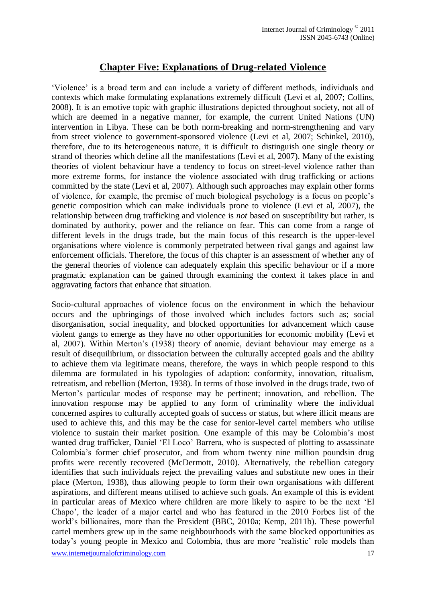### **Chapter Five: Explanations of Drug-related Violence**

"Violence" is a broad term and can include a variety of different methods, individuals and contexts which make formulating explanations extremely difficult (Levi et al, 2007; Collins, 2008). It is an emotive topic with graphic illustrations depicted throughout society, not all of which are deemed in a negative manner, for example, the current United Nations (UN) intervention in Libya. These can be both norm-breaking and norm-strengthening and vary from street violence to government-sponsored violence (Levi et al, 2007; Schinkel, 2010), therefore, due to its heterogeneous nature, it is difficult to distinguish one single theory or strand of theories which define all the manifestations (Levi et al, 2007). Many of the existing theories of violent behaviour have a tendency to focus on street-level violence rather than more extreme forms, for instance the violence associated with drug trafficking or actions committed by the state (Levi et al, 2007). Although such approaches may explain other forms of violence, for example, the premise of much biological psychology is a focus on people"s genetic composition which can make individuals prone to violence (Levi et al, 2007), the relationship between drug trafficking and violence is *not* based on susceptibility but rather, is dominated by authority, power and the reliance on fear. This can come from a range of different levels in the drugs trade, but the main focus of this research is the upper-level organisations where violence is commonly perpetrated between rival gangs and against law enforcement officials. Therefore, the focus of this chapter is an assessment of whether any of the general theories of violence can adequately explain this specific behaviour or if a more pragmatic explanation can be gained through examining the context it takes place in and aggravating factors that enhance that situation.

Socio-cultural approaches of violence focus on the environment in which the behaviour occurs and the upbringings of those involved which includes factors such as; social disorganisation, social inequality, and blocked opportunities for advancement which cause violent gangs to emerge as they have no other opportunities for economic mobility (Levi et al, 2007). Within Merton"s (1938) theory of anomie, deviant behaviour may emerge as a result of disequilibrium, or dissociation between the culturally accepted goals and the ability to achieve them via legitimate means, therefore, the ways in which people respond to this dilemma are formulated in his typologies of adaption: conformity, innovation, ritualism, retreatism, and rebellion (Merton, 1938). In terms of those involved in the drugs trade, two of Merton"s particular modes of response may be pertinent; innovation, and rebellion. The innovation response may be applied to any form of criminality where the individual concerned aspires to culturally accepted goals of success or status, but where illicit means are used to achieve this, and this may be the case for senior-level cartel members who utilise violence to sustain their market position. One example of this may be Colombia"s most wanted drug trafficker, Daniel 'El Loco' Barrera, who is suspected of plotting to assassinate Colombia"s former chief prosecutor, and from whom twenty nine million poundsin drug profits were recently recovered (McDermott, 2010). Alternatively, the rebellion category identifies that such individuals reject the prevailing values and substitute new ones in their place (Merton, 1938), thus allowing people to form their own organisations with different aspirations, and different means utilised to achieve such goals. An example of this is evident in particular areas of Mexico where children are more likely to aspire to be the next "El Chapo", the leader of a major cartel and who has featured in the 2010 Forbes list of the world"s billionaires, more than the President (BBC, 2010a; Kemp, 2011b). These powerful cartel members grew up in the same neighbourhoods with the same blocked opportunities as today"s young people in Mexico and Colombia, thus are more "realistic" role models than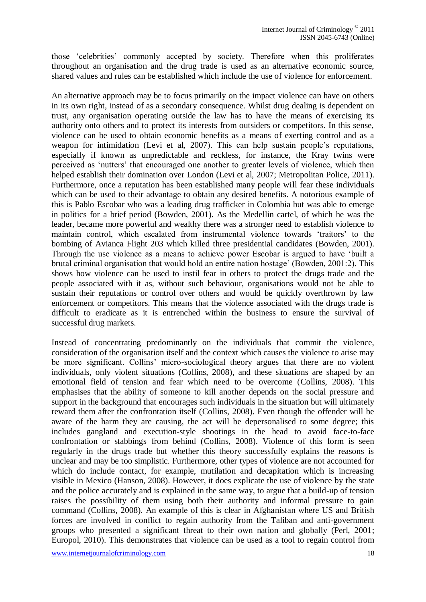those "celebrities" commonly accepted by society. Therefore when this proliferates throughout an organisation and the drug trade is used as an alternative economic source, shared values and rules can be established which include the use of violence for enforcement.

An alternative approach may be to focus primarily on the impact violence can have on others in its own right, instead of as a secondary consequence. Whilst drug dealing is dependent on trust, any organisation operating outside the law has to have the means of exercising its authority onto others and to protect its interests from outsiders or competitors. In this sense, violence can be used to obtain economic benefits as a means of exerting control and as a weapon for intimidation (Levi et al, 2007). This can help sustain people's reputations, especially if known as unpredictable and reckless, for instance, the Kray twins were perceived as "nutters" that encouraged one another to greater levels of violence, which then helped establish their domination over London (Levi et al, 2007; Metropolitan Police, 2011). Furthermore, once a reputation has been established many people will fear these individuals which can be used to their advantage to obtain any desired benefits. A notorious example of this is Pablo Escobar who was a leading drug trafficker in Colombia but was able to emerge in politics for a brief period (Bowden, 2001). As the Medellin cartel, of which he was the leader, became more powerful and wealthy there was a stronger need to establish violence to maintain control, which escalated from instrumental violence towards "traitors" to the bombing of Avianca Flight 203 which killed three presidential candidates (Bowden, 2001). Through the use violence as a means to achieve power Escobar is argued to have "built a brutal criminal organisation that would hold an entire nation hostage" (Bowden, 2001:2). This shows how violence can be used to instil fear in others to protect the drugs trade and the people associated with it as, without such behaviour, organisations would not be able to sustain their reputations or control over others and would be quickly overthrown by law enforcement or competitors. This means that the violence associated with the drugs trade is difficult to eradicate as it is entrenched within the business to ensure the survival of successful drug markets.

Instead of concentrating predominantly on the individuals that commit the violence, consideration of the organisation itself and the context which causes the violence to arise may be more significant. Collins' micro-sociological theory argues that there are no violent individuals, only violent situations (Collins, 2008), and these situations are shaped by an emotional field of tension and fear which need to be overcome (Collins, 2008). This emphasises that the ability of someone to kill another depends on the social pressure and support in the background that encourages such individuals in the situation but will ultimately reward them after the confrontation itself (Collins, 2008). Even though the offender will be aware of the harm they are causing, the act will be depersonalised to some degree; this includes gangland and execution-style shootings in the head to avoid face-to-face confrontation or stabbings from behind (Collins, 2008). Violence of this form is seen regularly in the drugs trade but whether this theory successfully explains the reasons is unclear and may be too simplistic. Furthermore, other types of violence are not accounted for which do include contact, for example, mutilation and decapitation which is increasing visible in Mexico (Hanson, 2008). However, it does explicate the use of violence by the state and the police accurately and is explained in the same way, to argue that a build-up of tension raises the possibility of them using both their authority and informal pressure to gain command (Collins, 2008). An example of this is clear in Afghanistan where US and British forces are involved in conflict to regain authority from the Taliban and anti-government groups who presented a significant threat to their own nation and globally (Perl, 2001; Europol, 2010). This demonstrates that violence can be used as a tool to regain control from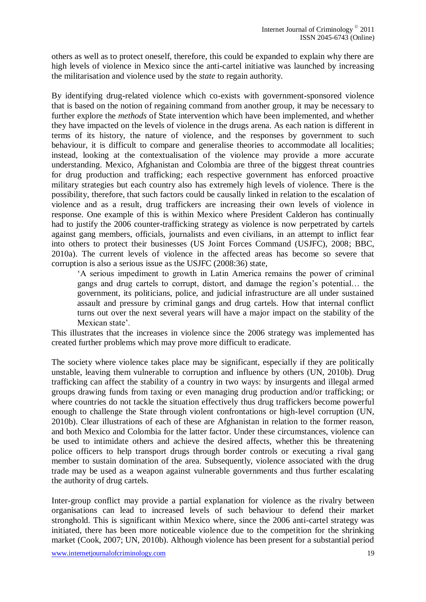others as well as to protect oneself, therefore, this could be expanded to explain why there are high levels of violence in Mexico since the anti-cartel initiative was launched by increasing the militarisation and violence used by the *state* to regain authority.

By identifying drug-related violence which co-exists with government-sponsored violence that is based on the notion of regaining command from another group, it may be necessary to further explore the *methods* of State intervention which have been implemented, and whether they have impacted on the levels of violence in the drugs arena. As each nation is different in terms of its history, the nature of violence, and the responses by government to such behaviour, it is difficult to compare and generalise theories to accommodate all localities; instead, looking at the contextualisation of the violence may provide a more accurate understanding. Mexico, Afghanistan and Colombia are three of the biggest threat countries for drug production and trafficking; each respective government has enforced proactive military strategies but each country also has extremely high levels of violence. There is the possibility, therefore, that such factors could be causally linked in relation to the escalation of violence and as a result, drug traffickers are increasing their own levels of violence in response. One example of this is within Mexico where President Calderon has continually had to justify the 2006 counter-trafficking strategy as violence is now perpetrated by cartels against gang members, officials, journalists and even civilians, in an attempt to inflict fear into others to protect their businesses (US Joint Forces Command (USJFC), 2008; BBC, 2010a). The current levels of violence in the affected areas has become so severe that corruption is also a serious issue as the USJFC (2008:36) state,

"A serious impediment to growth in Latin America remains the power of criminal gangs and drug cartels to corrupt, distort, and damage the region"s potential… the government, its politicians, police, and judicial infrastructure are all under sustained assault and pressure by criminal gangs and drug cartels. How that internal conflict turns out over the next several years will have a major impact on the stability of the Mexican state'

This illustrates that the increases in violence since the 2006 strategy was implemented has created further problems which may prove more difficult to eradicate.

The society where violence takes place may be significant, especially if they are politically unstable, leaving them vulnerable to corruption and influence by others (UN, 2010b). Drug trafficking can affect the stability of a country in two ways: by insurgents and illegal armed groups drawing funds from taxing or even managing drug production and/or trafficking; or where countries do not tackle the situation effectively thus drug traffickers become powerful enough to challenge the State through violent confrontations or high-level corruption (UN, 2010b). Clear illustrations of each of these are Afghanistan in relation to the former reason, and both Mexico and Colombia for the latter factor. Under these circumstances, violence can be used to intimidate others and achieve the desired affects, whether this be threatening police officers to help transport drugs through border controls or executing a rival gang member to sustain domination of the area. Subsequently, violence associated with the drug trade may be used as a weapon against vulnerable governments and thus further escalating the authority of drug cartels.

Inter-group conflict may provide a partial explanation for violence as the rivalry between organisations can lead to increased levels of such behaviour to defend their market stronghold. This is significant within Mexico where, since the 2006 anti-cartel strategy was initiated, there has been more noticeable violence due to the competition for the shrinking market (Cook, 2007; UN, 2010b). Although violence has been present for a substantial period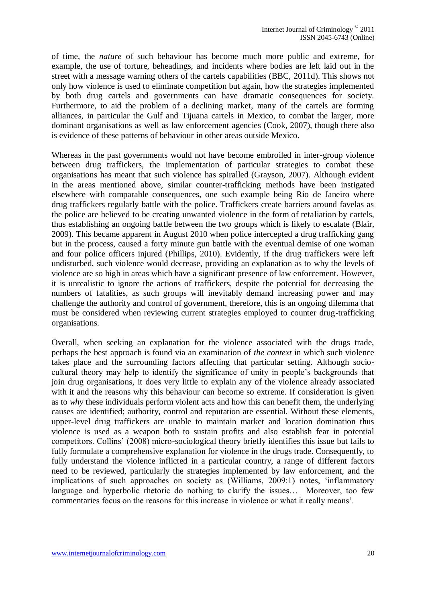of time, the *nature* of such behaviour has become much more public and extreme, for example, the use of torture, beheadings, and incidents where bodies are left laid out in the street with a message warning others of the cartels capabilities (BBC, 2011d). This shows not only how violence is used to eliminate competition but again, how the strategies implemented by both drug cartels and governments can have dramatic consequences for society. Furthermore, to aid the problem of a declining market, many of the cartels are forming alliances, in particular the Gulf and Tijuana cartels in Mexico, to combat the larger, more dominant organisations as well as law enforcement agencies (Cook, 2007), though there also is evidence of these patterns of behaviour in other areas outside Mexico.

Whereas in the past governments would not have become embroiled in inter-group violence between drug traffickers, the implementation of particular strategies to combat these organisations has meant that such violence has spiralled (Grayson, 2007). Although evident in the areas mentioned above, similar counter-trafficking methods have been instigated elsewhere with comparable consequences, one such example being Rio de Janeiro where drug traffickers regularly battle with the police. Traffickers create barriers around favelas as the police are believed to be creating unwanted violence in the form of retaliation by cartels, thus establishing an ongoing battle between the two groups which is likely to escalate (Blair, 2009). This became apparent in August 2010 when police intercepted a drug trafficking gang but in the process, caused a forty minute gun battle with the eventual demise of one woman and four police officers injured (Phillips, 2010). Evidently, if the drug traffickers were left undisturbed, such violence would decrease, providing an explanation as to why the levels of violence are so high in areas which have a significant presence of law enforcement. However, it is unrealistic to ignore the actions of traffickers, despite the potential for decreasing the numbers of fatalities, as such groups will inevitably demand increasing power and may challenge the authority and control of government, therefore, this is an ongoing dilemma that must be considered when reviewing current strategies employed to counter drug-trafficking organisations.

Overall, when seeking an explanation for the violence associated with the drugs trade, perhaps the best approach is found via an examination of *the context* in which such violence takes place and the surrounding factors affecting that particular setting. Although sociocultural theory may help to identify the significance of unity in people"s backgrounds that join drug organisations, it does very little to explain any of the violence already associated with it and the reasons why this behaviour can become so extreme. If consideration is given as to *why* these individuals perform violent acts and how this can benefit them, the underlying causes are identified; authority, control and reputation are essential. Without these elements, upper-level drug traffickers are unable to maintain market and location domination thus violence is used as a weapon both to sustain profits and also establish fear in potential competitors. Collins" (2008) micro-sociological theory briefly identifies this issue but fails to fully formulate a comprehensive explanation for violence in the drugs trade. Consequently, to fully understand the violence inflicted in a particular country, a range of different factors need to be reviewed, particularly the strategies implemented by law enforcement, and the implications of such approaches on society as (Williams, 2009:1) notes, "inflammatory language and hyperbolic rhetoric do nothing to clarify the issues… Moreover, too few commentaries focus on the reasons for this increase in violence or what it really means".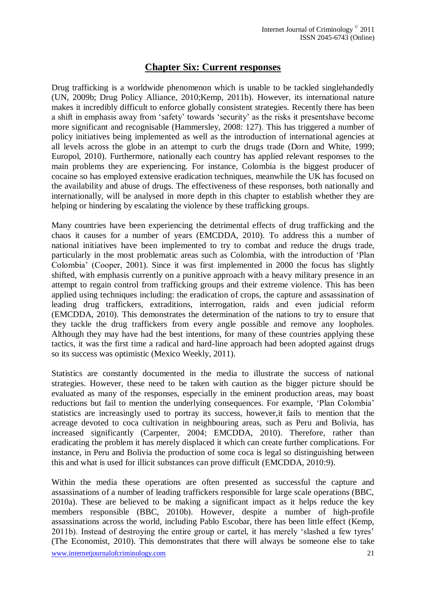## **Chapter Six: Current responses**

Drug trafficking is a worldwide phenomenon which is unable to be tackled singlehandedly (UN, 2009b; Drug Policy Alliance, 2010;Kemp, 2011b). However, its international nature makes it incredibly difficult to enforce globally consistent strategies. Recently there has been a shift in emphasis away from "safety" towards "security" as the risks it presentshave become more significant and recognisable (Hammersley, 2008: 127). This has triggered a number of policy initiatives being implemented as well as the introduction of international agencies at all levels across the globe in an attempt to curb the drugs trade (Dorn and White, 1999; Europol, 2010). Furthermore, nationally each country has applied relevant responses to the main problems they are experiencing. For instance, Colombia is the biggest producer of cocaine so has employed extensive eradication techniques, meanwhile the UK has focused on the availability and abuse of drugs. The effectiveness of these responses, both nationally and internationally, will be analysed in more depth in this chapter to establish whether they are helping or hindering by escalating the violence by these trafficking groups.

Many countries have been experiencing the detrimental effects of drug trafficking and the chaos it causes for a number of years (EMCDDA, 2010). To address this a number of national initiatives have been implemented to try to combat and reduce the drugs trade, particularly in the most problematic areas such as Colombia, with the introduction of "Plan Colombia" (Cooper, 2001). Since it was first implemented in 2000 the focus has slightly shifted, with emphasis currently on a punitive approach with a heavy military presence in an attempt to regain control from trafficking groups and their extreme violence. This has been applied using techniques including: the eradication of crops, the capture and assassination of leading drug traffickers, extraditions, interrogation, raids and even judicial reform (EMCDDA, 2010). This demonstrates the determination of the nations to try to ensure that they tackle the drug traffickers from every angle possible and remove any loopholes. Although they may have had the best intentions, for many of these countries applying these tactics, it was the first time a radical and hard-line approach had been adopted against drugs so its success was optimistic (Mexico Weekly, 2011).

Statistics are constantly documented in the media to illustrate the success of national strategies. However, these need to be taken with caution as the bigger picture should be evaluated as many of the responses, especially in the eminent production areas, may boast reductions but fail to mention the underlying consequences. For example, "Plan Colombia" statistics are increasingly used to portray its success, however,it fails to mention that the acreage devoted to coca cultivation in neighbouring areas, such as Peru and Bolivia, has increased significantly (Carpenter, 2004; EMCDDA, 2010). Therefore, rather than eradicating the problem it has merely displaced it which can create further complications. For instance, in Peru and Bolivia the production of some coca is legal so distinguishing between this and what is used for illicit substances can prove difficult (EMCDDA, 2010:9).

Within the media these operations are often presented as successful the capture and assassinations of a number of leading traffickers responsible for large scale operations (BBC, 2010a). These are believed to be making a significant impact as it helps reduce the key members responsible (BBC, 2010b). However, despite a number of high-profile assassinations across the world, including Pablo Escobar, there has been little effect (Kemp, 2011b). Instead of destroying the entire group or cartel, it has merely 'slashed a few tyres' (The Economist, 2010). This demonstrates that there will always be someone else to take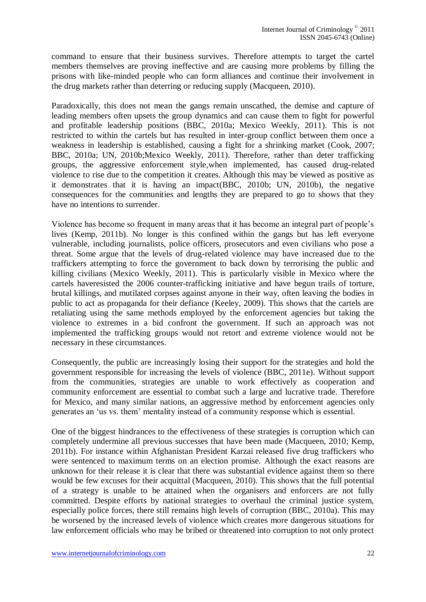command to ensure that their business survives. Therefore attempts to target the cartel members themselves are proving ineffective and are causing more problems by filling the prisons with like-minded people who can form alliances and continue their involvement in the drug markets rather than deterring or reducing supply (Macqueen, 2010).

Paradoxically, this does not mean the gangs remain unscathed, the demise and capture of leading members often upsets the group dynamics and can cause them to fight for powerful and profitable leadership positions (BBC, 2010a; Mexico Weekly, 2011). This is not restricted to within the cartels but has resulted in inter-group conflict between them once a weakness in leadership is established, causing a fight for a shrinking market (Cook, 2007; BBC, 2010a; UN, 2010b;Mexico Weekly, 2011). Therefore, rather than deter trafficking groups, the aggressive enforcement style,when implemented, has caused drug-related violence to rise due to the competition it creates. Although this may be viewed as positive as it demonstrates that it is having an impact(BBC, 2010b; UN, 2010b), the negative consequences for the communities and lengths they are prepared to go to shows that they have no intentions to surrender.

Violence has become so frequent in many areas that it has become an integral part of people"s lives (Kemp, 2011b). No longer is this confined within the gangs but has left everyone vulnerable, including journalists, police officers, prosecutors and even civilians who pose a threat. Some argue that the levels of drug-related violence may have increased due to the traffickers attempting to force the government to back down by terrorising the public and killing civilians (Mexico Weekly, 2011). This is particularly visible in Mexico where the cartels haveresisted the 2006 counter-trafficking initiative and have begun trails of torture, brutal killings, and mutilated corpses against anyone in their way, often leaving the bodies in public to act as propaganda for their defiance (Keeley, 2009). This shows that the cartels are retaliating using the same methods employed by the enforcement agencies but taking the violence to extremes in a bid confront the government. If such an approach was not implemented the trafficking groups would not retort and extreme violence would not be necessary in these circumstances.

Consequently, the public are increasingly losing their support for the strategies and hold the government responsible for increasing the levels of violence (BBC, 2011e). Without support from the communities, strategies are unable to work effectively as cooperation and community enforcement are essential to combat such a large and lucrative trade. Therefore for Mexico, and many similar nations, an aggressive method by enforcement agencies only generates an "us vs. them" mentality instead of a community response which is essential.

One of the biggest hindrances to the effectiveness of these strategies is corruption which can completely undermine all previous successes that have been made (Macqueen, 2010; Kemp, 2011b). For instance within Afghanistan President Karzai released five drug traffickers who were sentenced to maximum terms on an election promise. Although the exact reasons are unknown for their release it is clear that there was substantial evidence against them so there would be few excuses for their acquittal (Macqueen, 2010). This shows that the full potential of a strategy is unable to be attained when the organisers and enforcers are not fully committed. Despite efforts by national strategies to overhaul the criminal justice system, especially police forces, there still remains high levels of corruption (BBC, 2010a). This may be worsened by the increased levels of violence which creates more dangerous situations for law enforcement officials who may be bribed or threatened into corruption to not only protect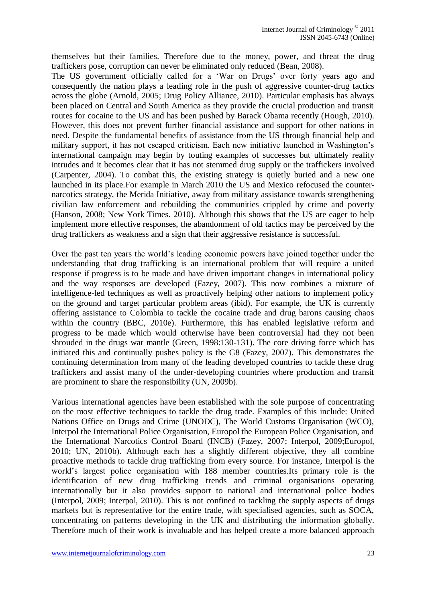themselves but their families. Therefore due to the money, power, and threat the drug traffickers pose, corruption can never be eliminated only reduced (Bean, 2008).

The US government officially called for a "War on Drugs" over forty years ago and consequently the nation plays a leading role in the push of aggressive counter-drug tactics across the globe (Arnold, 2005; Drug Policy Alliance, 2010). Particular emphasis has always been placed on Central and South America as they provide the crucial production and transit routes for cocaine to the US and has been pushed by Barack Obama recently (Hough, 2010). However, this does not prevent further financial assistance and support for other nations in need. Despite the fundamental benefits of assistance from the US through financial help and military support, it has not escaped criticism. Each new initiative launched in Washington"s international campaign may begin by touting examples of successes but ultimately reality intrudes and it becomes clear that it has not stemmed drug supply or the traffickers involved (Carpenter, 2004). To combat this, the existing strategy is quietly buried and a new one launched in its place.For example in March 2010 the US and Mexico refocused the counternarcotics strategy, the Merida Initiative, away from military assistance towards strengthening civilian law enforcement and rebuilding the communities crippled by crime and poverty (Hanson, 2008; New York Times. 2010). Although this shows that the US are eager to help implement more effective responses, the abandonment of old tactics may be perceived by the drug traffickers as weakness and a sign that their aggressive resistance is successful.

Over the past ten years the world"s leading economic powers have joined together under the understanding that drug trafficking is an international problem that will require a united response if progress is to be made and have driven important changes in international policy and the way responses are developed (Fazey, 2007). This now combines a mixture of intelligence-led techniques as well as proactively helping other nations to implement policy on the ground and target particular problem areas (ibid). For example, the UK is currently offering assistance to Colombia to tackle the cocaine trade and drug barons causing chaos within the country (BBC, 2010e). Furthermore, this has enabled legislative reform and progress to be made which would otherwise have been controversial had they not been shrouded in the drugs war mantle (Green, 1998:130-131). The core driving force which has initiated this and continually pushes policy is the G8 (Fazey, 2007). This demonstrates the continuing determination from many of the leading developed countries to tackle these drug traffickers and assist many of the under-developing countries where production and transit are prominent to share the responsibility (UN, 2009b).

Various international agencies have been established with the sole purpose of concentrating on the most effective techniques to tackle the drug trade. Examples of this include: United Nations Office on Drugs and Crime (UNODC), The World Customs Organisation (WCO), Interpol the International Police Organisation, Europol the European Police Organisation, and the International Narcotics Control Board (INCB) (Fazey, 2007; Interpol, 2009;Europol, 2010; UN, 2010b). Although each has a slightly different objective, they all combine proactive methods to tackle drug trafficking from every source. For instance, Interpol is the world"s largest police organisation with 188 member countries.Its primary role is the identification of new drug trafficking trends and criminal organisations operating internationally but it also provides support to national and international police bodies (Interpol, 2009; Interpol, 2010). This is not confined to tackling the supply aspects of drugs markets but is representative for the entire trade, with specialised agencies, such as SOCA, concentrating on patterns developing in the UK and distributing the information globally. Therefore much of their work is invaluable and has helped create a more balanced approach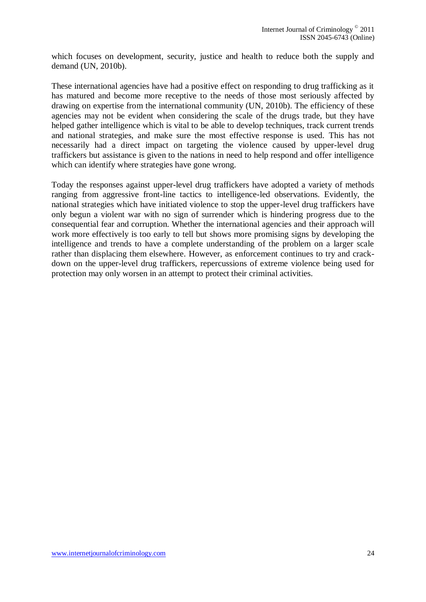which focuses on development, security, justice and health to reduce both the supply and demand (UN, 2010b).

These international agencies have had a positive effect on responding to drug trafficking as it has matured and become more receptive to the needs of those most seriously affected by drawing on expertise from the international community (UN, 2010b). The efficiency of these agencies may not be evident when considering the scale of the drugs trade, but they have helped gather intelligence which is vital to be able to develop techniques, track current trends and national strategies, and make sure the most effective response is used. This has not necessarily had a direct impact on targeting the violence caused by upper-level drug traffickers but assistance is given to the nations in need to help respond and offer intelligence which can identify where strategies have gone wrong.

Today the responses against upper-level drug traffickers have adopted a variety of methods ranging from aggressive front-line tactics to intelligence-led observations. Evidently, the national strategies which have initiated violence to stop the upper-level drug traffickers have only begun a violent war with no sign of surrender which is hindering progress due to the consequential fear and corruption. Whether the international agencies and their approach will work more effectively is too early to tell but shows more promising signs by developing the intelligence and trends to have a complete understanding of the problem on a larger scale rather than displacing them elsewhere. However, as enforcement continues to try and crackdown on the upper-level drug traffickers, repercussions of extreme violence being used for protection may only worsen in an attempt to protect their criminal activities.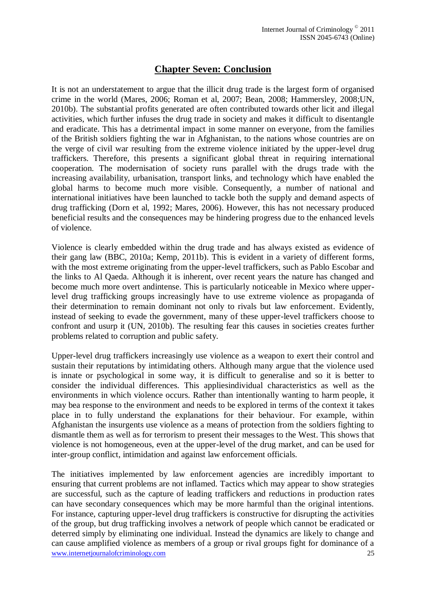## **Chapter Seven: Conclusion**

It is not an understatement to argue that the illicit drug trade is the largest form of organised crime in the world (Mares, 2006; Roman et al, 2007; Bean, 2008; Hammersley, 2008;UN, 2010b). The substantial profits generated are often contributed towards other licit and illegal activities, which further infuses the drug trade in society and makes it difficult to disentangle and eradicate. This has a detrimental impact in some manner on everyone, from the families of the British soldiers fighting the war in Afghanistan, to the nations whose countries are on the verge of civil war resulting from the extreme violence initiated by the upper-level drug traffickers. Therefore, this presents a significant global threat in requiring international cooperation. The modernisation of society runs parallel with the drugs trade with the increasing availability, urbanisation, transport links, and technology which have enabled the global harms to become much more visible. Consequently, a number of national and international initiatives have been launched to tackle both the supply and demand aspects of drug trafficking (Dorn et al, 1992; Mares, 2006). However, this has not necessary produced beneficial results and the consequences may be hindering progress due to the enhanced levels of violence.

Violence is clearly embedded within the drug trade and has always existed as evidence of their gang law (BBC, 2010a; Kemp, 2011b). This is evident in a variety of different forms, with the most extreme originating from the upper-level traffickers, such as Pablo Escobar and the links to Al Qaeda. Although it is inherent, over recent years the nature has changed and become much more overt andintense. This is particularly noticeable in Mexico where upperlevel drug trafficking groups increasingly have to use extreme violence as propaganda of their determination to remain dominant not only to rivals but law enforcement. Evidently, instead of seeking to evade the government, many of these upper-level traffickers choose to confront and usurp it (UN, 2010b). The resulting fear this causes in societies creates further problems related to corruption and public safety.

Upper-level drug traffickers increasingly use violence as a weapon to exert their control and sustain their reputations by intimidating others. Although many argue that the violence used is innate or psychological in some way, it is difficult to generalise and so it is better to consider the individual differences. This appliesindividual characteristics as well as the environments in which violence occurs. Rather than intentionally wanting to harm people, it may bea response to the environment and needs to be explored in terms of the context it takes place in to fully understand the explanations for their behaviour. For example, within Afghanistan the insurgents use violence as a means of protection from the soldiers fighting to dismantle them as well as for terrorism to present their messages to the West. This shows that violence is not homogeneous, even at the upper-level of the drug market, and can be used for inter-group conflict, intimidation and against law enforcement officials.

www.internetjournalofcriminology.com 25 The initiatives implemented by law enforcement agencies are incredibly important to ensuring that current problems are not inflamed. Tactics which may appear to show strategies are successful, such as the capture of leading traffickers and reductions in production rates can have secondary consequences which may be more harmful than the original intentions. For instance, capturing upper-level drug traffickers is constructive for disrupting the activities of the group, but drug trafficking involves a network of people which cannot be eradicated or deterred simply by eliminating one individual. Instead the dynamics are likely to change and can cause amplified violence as members of a group or rival groups fight for dominance of a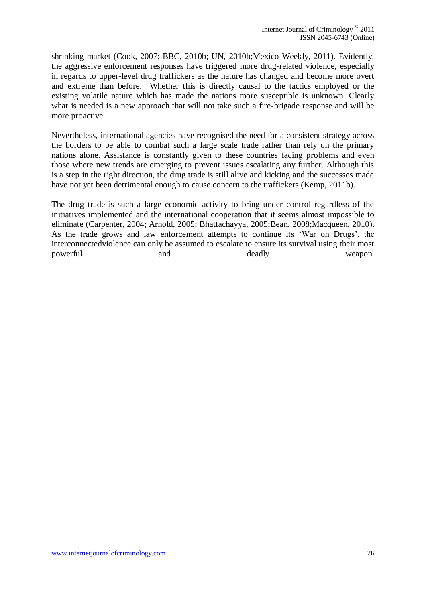shrinking market (Cook, 2007; BBC, 2010b; UN, 2010b;Mexico Weekly, 2011). Evidently, the aggressive enforcement responses have triggered more drug-related violence, especially in regards to upper-level drug traffickers as the nature has changed and become more overt and extreme than before. Whether this is directly causal to the tactics employed or the existing volatile nature which has made the nations more susceptible is unknown. Clearly what is needed is a new approach that will not take such a fire-brigade response and will be more proactive.

Nevertheless, international agencies have recognised the need for a consistent strategy across the borders to be able to combat such a large scale trade rather than rely on the primary nations alone. Assistance is constantly given to these countries facing problems and even those where new trends are emerging to prevent issues escalating any further. Although this is a step in the right direction, the drug trade is still alive and kicking and the successes made have not yet been detrimental enough to cause concern to the traffickers (Kemp, 2011b).

The drug trade is such a large economic activity to bring under control regardless of the initiatives implemented and the international cooperation that it seems almost impossible to eliminate (Carpenter, 2004; Arnold, 2005; Bhattachayya, 2005;Bean, 2008;Macqueen. 2010). As the trade grows and law enforcement attempts to continue its "War on Drugs", the interconnectedviolence can only be assumed to escalate to ensure its survival using their most powerful and and deadly veapon.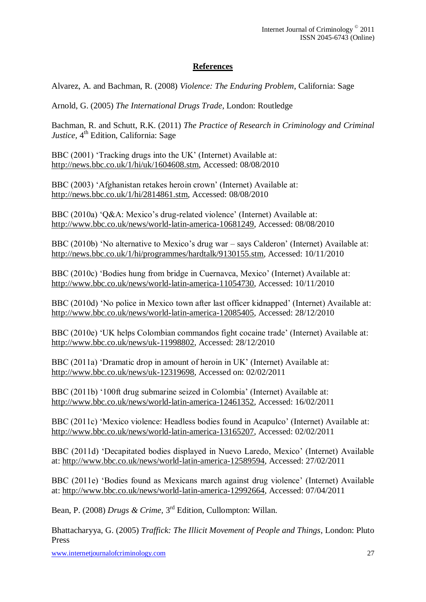#### **References**

Alvarez, A. and Bachman, R. (2008) *Violence: The Enduring Problem*, California: Sage

Arnold, G. (2005) *The International Drugs Trade*, London: Routledge

Bachman, R. and Schutt, R.K. (2011) *The Practice of Research in Criminology and Criminal*  Justice, 4<sup>th</sup> Edition, California: Sage

BBC (2001) 'Tracking drugs into the UK' (Internet) Available at: [http://news.bbc.co.uk/1/hi/uk/1604608.stm,](http://news.bbc.co.uk/1/hi/uk/1604608.stm) Accessed: 08/08/2010

BBC (2003) "Afghanistan retakes heroin crown" (Internet) Available at: [http://news.bbc.co.uk/1/hi/2814861.stm,](http://news.bbc.co.uk/1/hi/2814861.stm) Accessed: 08/08/2010

BBC (2010a) 'O&A: Mexico's drug-related violence' (Internet) Available at: [http://www.bbc.co.uk/news/world-latin-america-10681249,](http://www.bbc.co.uk/news/world-latin-america-10681249) Accessed: 08/08/2010

BBC (2010b) 'No alternative to Mexico's drug war – says Calderon' (Internet) Available at: [http://news.bbc.co.uk/1/hi/programmes/hardtalk/9130155.stm,](http://news.bbc.co.uk/1/hi/programmes/hardtalk/9130155.stm) Accessed: 10/11/2010

BBC (2010c) 'Bodies hung from bridge in Cuernavca, Mexico' (Internet) Available at: [http://www.bbc.co.uk/news/world-latin-america-11054730,](http://www.bbc.co.uk/news/world-latin-america-11054730) Accessed: 10/11/2010

BBC (2010d) 'No police in Mexico town after last officer kidnapped' (Internet) Available at: [http://www.bbc.co.uk/news/world-latin-america-12085405,](http://www.bbc.co.uk/news/world-latin-america-12085405) Accessed: 28/12/2010

BBC (2010e) 'UK helps Colombian commandos fight cocaine trade' (Internet) Available at: [http://www.bbc.co.uk/news/uk-11998802,](http://www.bbc.co.uk/news/uk-11998802) Accessed: 28/12/2010

BBC (2011a) 'Dramatic drop in amount of heroin in UK' (Internet) Available at: [http://www.bbc.co.uk/news/uk-12319698,](http://www.bbc.co.uk/news/uk-12319698) Accessed on: 02/02/2011

BBC (2011b) '100ft drug submarine seized in Colombia' (Internet) Available at: [http://www.bbc.co.uk/news/world-latin-america-12461352,](http://www.bbc.co.uk/news/world-latin-america-12461352) Accessed: 16/02/2011

BBC (2011c) "Mexico violence: Headless bodies found in Acapulco" (Internet) Available at: [http://www.bbc.co.uk/news/world-latin-america-13165207,](http://www.bbc.co.uk/news/world-latin-america-13165207) Accessed: 02/02/2011

BBC (2011d) "Decapitated bodies displayed in Nuevo Laredo, Mexico" (Internet) Available at: [http://www.bbc.co.uk/news/world-latin-america-12589594,](http://www.bbc.co.uk/news/world-latin-america-12589594) Accessed: 27/02/2011

BBC (2011e) 'Bodies found as Mexicans march against drug violence' (Internet) Available at: [http://www.bbc.co.uk/news/world-latin-america-12992664,](http://www.bbc.co.uk/news/world-latin-america-12992664) Accessed: 07/04/2011

Bean, P. (2008) *Drugs & Crime*, 3<sup>rd</sup> Edition, Cullompton: Willan.

Bhattacharyya, G. (2005) *Traffick: The Illicit Movement of People and Things*, London: Pluto Press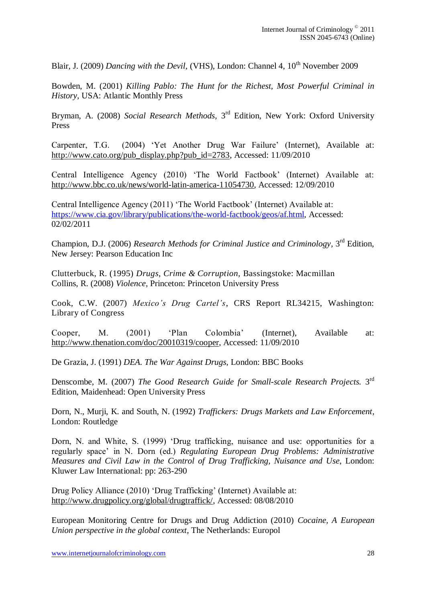Blair, J. (2009) *Dancing with the Devil*, (VHS), London: Channel 4, 10<sup>th</sup> November 2009

Bowden, M. (2001) *Killing Pablo: The Hunt for the Richest, Most Powerful Criminal in History,* USA: Atlantic Monthly Press

Bryman, A. (2008) *Social Research Methods*, 3<sup>rd</sup> Edition, New York: Oxford University Press

Carpenter, T.G. (2004) "Yet Another Drug War Failure" (Internet), Available at: [http://www.cato.org/pub\\_display.php?pub\\_id=2783,](http://www.cato.org/pub_display.php?pub_id=2783) Accessed: 11/09/2010

Central Intelligence Agency (2010) "The World Factbook" (Internet) Available at: [http://www.bbc.co.uk/news/world-latin-america-11054730,](http://www.bbc.co.uk/news/world-latin-america-11054730) Accessed: 12/09/2010

Central Intelligence Agency (2011) "The World Factbook" (Internet) Available at: [https://www.cia.gov/library/publications/the-world-factbook/geos/af.html,](https://www.cia.gov/library/publications/the-world-factbook/geos/af.html) Accessed: 02/02/2011

Champion, D.J. (2006) *Research Methods for Criminal Justice and Criminology*, 3<sup>rd</sup> Edition, New Jersey: Pearson Education Inc

Clutterbuck, R. (1995) *Drugs, Crime & Corruption,* Bassingstoke: Macmillan Collins, R. (2008) *Violence,* Princeton: Princeton University Press

Cook, C.W. (2007) *Mexico's Drug Cartel's*, CRS Report RL34215, Washington: Library of Congress

Cooper, M. (2001) "Plan Colombia" (Internet), Available at: [http://www.thenation.com/doc/20010319/cooper,](http://www.thenation.com/doc/20010319/cooper) Accessed: 11/09/2010

De Grazia, J. (1991) *DEA. The War Against Drugs,* London: BBC Books

Denscombe, M. (2007) *The Good Research Guide for Small-scale Research Projects.* 3<sup>rd</sup> Edition, Maidenhead: Open University Press

Dorn, N., Murji, K. and South, N. (1992) *Traffickers: Drugs Markets and Law Enforcement*, London: Routledge

Dorn, N. and White, S. (1999) "Drug trafficking, nuisance and use: opportunities for a regularly space" in N. Dorn (ed.) *Regulating European Drug Problems: Administrative Measures and Civil Law in the Control of Drug Trafficking, Nuisance and Use*, London: Kluwer Law International: pp: 263-290

Drug Policy Alliance (2010) 'Drug Trafficking' (Internet) Available at: [http://www.drugpolicy.org/global/drugtraffick/,](http://www.drugpolicy.org/global/drugtraffick/) Accessed: 08/08/2010

European Monitoring Centre for Drugs and Drug Addiction (2010) *Cocaine, A European Union perspective in the global context*, The Netherlands: Europol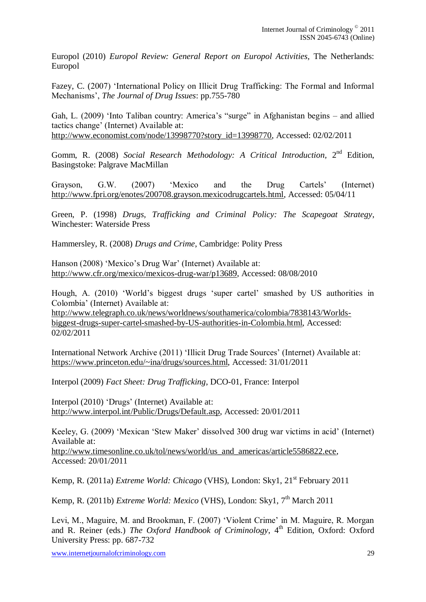Europol (2010) *Europol Review: General Report on Europol Activities,* The Netherlands: Europol

Fazey, C. (2007) "International Policy on Illicit Drug Trafficking: The Formal and Informal Mechanisms", *The Journal of Drug Issues*: pp.755-780

Gah, L. (2009) 'Into Taliban country: America's "surge" in Afghanistan begins – and allied tactics change" (Internet) Available at: [http://www.economist.com/node/13998770?story\\_id=13998770,](http://www.economist.com/node/13998770?story_id=13998770) Accessed: 02/02/2011

Gomm, R. (2008) Social Research Methodology: A Critical Introduction, 2<sup>nd</sup> Edition, Basingstoke: Palgrave MacMillan

Grayson, G.W. (2007) 'Mexico and the Drug Cartels' (Internet) [http://www.fpri.org/enotes/200708.grayson.mexicodrugcartels.html,](http://www.fpri.org/enotes/200708.grayson.mexicodrugcartels.html) Accessed: 05/04/11

Green, P. (1998) *Drugs, Trafficking and Criminal Policy: The Scapegoat Strategy*, Winchester: Waterside Press

Hammersley, R. (2008) *Drugs and Crime*, Cambridge: Polity Press

Hanson (2008) "Mexico"s Drug War" (Internet) Available at: [http://www.cfr.org/mexico/mexicos-drug-war/p13689,](http://www.cfr.org/mexico/mexicos-drug-war/p13689) Accessed: 08/08/2010

Hough, A. (2010) "World"s biggest drugs "super cartel" smashed by US authorities in Colombia" (Internet) Available at:

[http://www.telegraph.co.uk/news/worldnews/southamerica/colombia/7838143/Worlds](http://www.telegraph.co.uk/news/worldnews/southamerica/colombia/7838143/Worlds-biggest-drugs-super-cartel-smashed-by-US-authorities-in-Colombia.html)[biggest-drugs-super-cartel-smashed-by-US-authorities-in-Colombia.html,](http://www.telegraph.co.uk/news/worldnews/southamerica/colombia/7838143/Worlds-biggest-drugs-super-cartel-smashed-by-US-authorities-in-Colombia.html) Accessed: 02/02/2011

International Network Archive (2011) "Illicit Drug Trade Sources" (Internet) Available at: [https://www.princeton.edu/~ina/drugs/sources.html,](https://www.princeton.edu/~ina/drugs/sources.html) Accessed: 31/01/2011

Interpol (2009) *Fact Sheet: Drug Trafficking*, DCO-01, France: Interpol

Interpol (2010) "Drugs" (Internet) Available at: [http://www.interpol.int/Public/Drugs/Default.asp,](http://www.interpol.int/Public/Drugs/Default.asp) Accessed: 20/01/2011

Keeley, G. (2009) "Mexican "Stew Maker" dissolved 300 drug war victims in acid" (Internet) Available at:

[http://www.timesonline.co.uk/tol/news/world/us\\_and\\_americas/article5586822.ece,](http://www.timesonline.co.uk/tol/news/world/us_and_americas/article5586822.ece) Accessed: 20/01/2011

Kemp, R. (2011a) *Extreme World: Chicago* (VHS), London: Sky1, 21<sup>st</sup> February 2011

Kemp, R. (2011b) *Extreme World: Mexico* (VHS), London: Sky1, 7<sup>th</sup> March 2011

Levi, M., Maguire, M. and Brookman, F. (2007) "Violent Crime" in M. Maguire, R. Morgan and R. Reiner (eds.) *The Oxford Handbook of Criminology*, 4<sup>th</sup> Edition, Oxford: Oxford University Press: pp. 687-732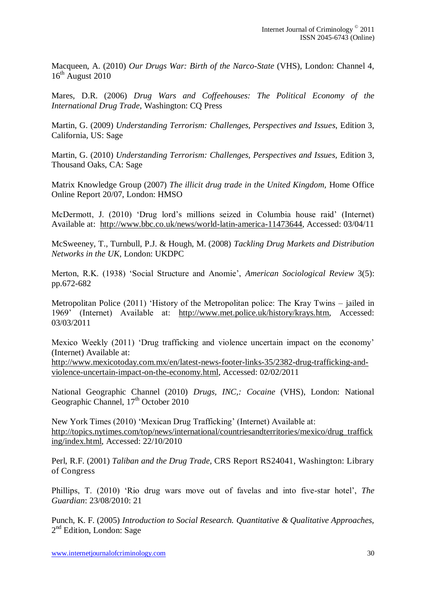Macqueen, A. (2010) *Our Drugs War: Birth of the Narco-State* (VHS), London: Channel 4,  $16<sup>th</sup>$  August 2010

Mares, D.R. (2006) *Drug Wars and Coffeehouses: The Political Economy of the International Drug Trade*, Washington: CQ Press

Martin, G. (2009) *Understanding Terrorism: Challenges, Perspectives and Issues*, Edition 3, California, US: Sage

Martin, G. (2010) *Understanding Terrorism: Challenges, Perspectives and Issues, Edition 3,* Thousand Oaks, CA: Sage

Matrix Knowledge Group (2007) *The illicit drug trade in the United Kingdom,* Home Office Online Report 20/07, London: HMSO

McDermott, J. (2010) "Drug lord"s millions seized in Columbia house raid" (Internet) Available at: [http://www.bbc.co.uk/news/world-latin-america-11473644,](http://www.bbc.co.uk/news/world-latin-america-11473644) Accessed: 03/04/11

McSweeney, T., Turnbull, P.J. & Hough, M. (2008) *Tackling Drug Markets and Distribution Networks in the UK,* London: UKDPC

Merton, R.K. (1938) "Social Structure and Anomie", *American Sociological Review* 3(5): pp.672-682

Metropolitan Police (2011) "History of the Metropolitan police: The Kray Twins – jailed in 1969" (Internet) Available at: [http://www.met.police.uk/history/krays.htm,](http://www.met.police.uk/history/krays.htm) Accessed: 03/03/2011

Mexico Weekly (2011) "Drug trafficking and violence uncertain impact on the economy" (Internet) Available at:

[http://www.mexicotoday.com.mx/en/latest-news-footer-links-35/2382-drug-trafficking-and](http://www.mexicotoday.com.mx/en/latest-news-footer-links-35/2382-drug-trafficking-and-violence-uncertain-impact-on-the-economy.html)[violence-uncertain-impact-on-the-economy.html,](http://www.mexicotoday.com.mx/en/latest-news-footer-links-35/2382-drug-trafficking-and-violence-uncertain-impact-on-the-economy.html) Accessed: 02/02/2011

National Geographic Channel (2010) *Drugs, INC,: Cocaine* (VHS), London: National Geographic Channel, 17<sup>th</sup> October 2010

New York Times (2010) "Mexican Drug Trafficking" (Internet) Available at: [http://topics.nytimes.com/top/news/international/countriesandterritories/mexico/drug\\_traffick](http://topics.nytimes.com/top/news/international/countriesandterritories/mexico/drug_trafficking/index.html) [ing/index.html,](http://topics.nytimes.com/top/news/international/countriesandterritories/mexico/drug_trafficking/index.html) Accessed: 22/10/2010

Perl, R.F. (2001) *Taliban and the Drug Trade*, CRS Report RS24041, Washington: Library of Congress

Phillips, T. (2010) "Rio drug wars move out of favelas and into five-star hotel", *The Guardian*: 23/08/2010: 21

Punch, K. F. (2005) *Introduction to Social Research. Quantitative & Qualitative Approaches,*  2<sup>nd</sup> Edition, London: Sage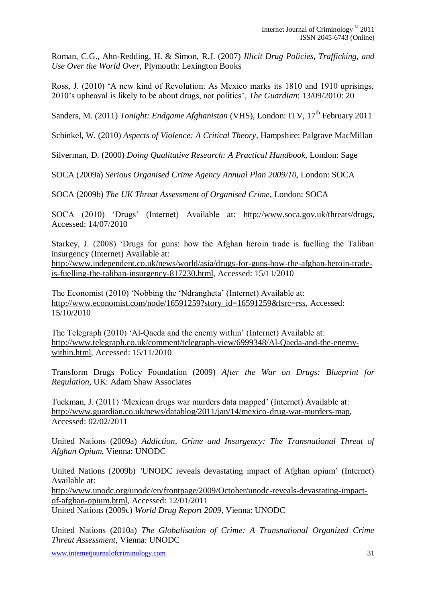Roman, C.G., Ahn-Redding, H. & Simon, R.J. (2007) *Illicit Drug Policies, Trafficking, and Use Over the World Over,* Plymouth: Lexington Books

Ross, J. (2010) "A new kind of Revolution: As Mexico marks its 1810 and 1910 uprisings, 2010"s upheaval is likely to be about drugs, not politics", *The Guardian*: 13/09/2010: 20

Sanders, M. (2011) *Tonight: Endgame Afghanistan* (VHS), London: ITV, 17<sup>th</sup> February 2011

Schinkel, W. (2010) *Aspects of Violence: A Critical Theory*, Hampshire: Palgrave MacMillan

Silverman, D. (2000) *Doing Qualitative Research: A Practical Handbook,* London: Sage

SOCA (2009a) *Serious Organised Crime Agency Annual Plan 2009/10*, London: SOCA

SOCA (2009b) *The UK Threat Assessment of Organised Crime*, London: SOCA

SOCA (2010) "Drugs" (Internet) Available at: [http://www.soca.gov.uk/threats/drugs,](http://www.soca.gov.uk/threats/drugs) Accessed: 14/07/2010

Starkey, J. (2008) "Drugs for guns: how the Afghan heroin trade is fuelling the Taliban insurgency (Internet) Available at:

[http://www.independent.co.uk/news/world/asia/drugs-for-guns-how-the-afghan-heroin-trade](http://www.independent.co.uk/news/world/asia/drugs-for-guns-how-the-afghan-heroin-trade-is-fuelling-the-taliban-insurgency-817230.html)[is-fuelling-the-taliban-insurgency-817230.html,](http://www.independent.co.uk/news/world/asia/drugs-for-guns-how-the-afghan-heroin-trade-is-fuelling-the-taliban-insurgency-817230.html) Accessed: 15/11/2010

The Economist (2010) "Nobbing the "Ndrangheta" (Internet) Available at: [http://www.economist.com/node/16591259?story\\_id=16591259&fsrc=rss,](http://www.economist.com/node/16591259?story_id=16591259&fsrc=rss) Accessed: 15/10/2010

The Telegraph (2010) 'Al-Qaeda and the enemy within' (Internet) Available at: [http://www.telegraph.co.uk/comment/telegraph-view/6999348/Al-Qaeda-and-the-enemy](http://www.telegraph.co.uk/comment/telegraph-view/6999348/Al-Qaeda-and-the-enemy-within.html)[within.html,](http://www.telegraph.co.uk/comment/telegraph-view/6999348/Al-Qaeda-and-the-enemy-within.html) Accessed: 15/11/2010

Transform Drugs Policy Foundation (2009) *After the War on Drugs: Blueprint for Regulation,* UK: Adam Shaw Associates

Tuckman, J. (2011) "Mexican drugs war murders data mapped" (Internet) Available at: [http://www.guardian.co.uk/news/datablog/2011/jan/14/mexico-drug-war-murders-map,](http://www.guardian.co.uk/news/datablog/2011/jan/14/mexico-drug-war-murders-map) Accessed: 02/02/2011

United Nations (2009a) *Addiction, Crime and Insurgency: The Transnational Threat of Afghan Opium*, Vienna: UNODC

United Nations (2009b) *'*UNODC reveals devastating impact of Afghan opium" (Internet) Available at: [http://www.unodc.org/unodc/en/frontpage/2009/October/unodc-reveals-devastating-impact](http://www.unodc.org/unodc/en/frontpage/2009/October/unodc-reveals-devastating-impact-of-afghan-opium.html)[of-afghan-opium.html,](http://www.unodc.org/unodc/en/frontpage/2009/October/unodc-reveals-devastating-impact-of-afghan-opium.html) Accessed: 12/01/2011 United Nations (2009c) *World Drug Report 2009,* Vienna: UNODC

United Nations (2010a) *The Globalisation of Crime: A Transnational Organized Crime Threat Assessment*, Vienna: UNODC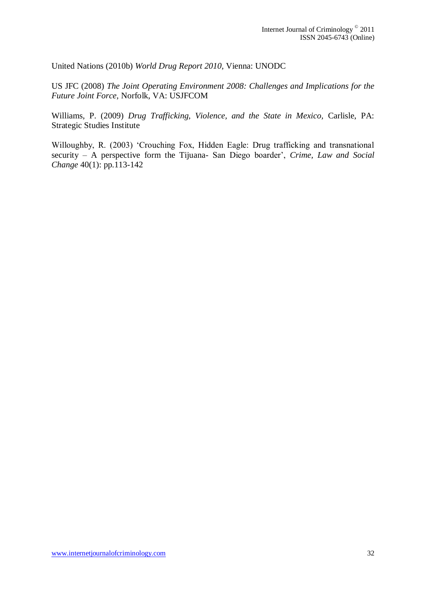United Nations (2010b) *World Drug Report 2010,* Vienna: UNODC

US JFC (2008) *The Joint Operating Environment 2008: Challenges and Implications for the Future Joint Force,* Norfolk, VA: USJFCOM

Williams, P. (2009) *Drug Trafficking, Violence, and the State in Mexico,* Carlisle, PA: Strategic Studies Institute

Willoughby, R. (2003) 'Crouching Fox, Hidden Eagle: Drug trafficking and transnational security – A perspective form the Tijuana- San Diego boarder", *Crime, Law and Social Change* 40(1): pp.113-142